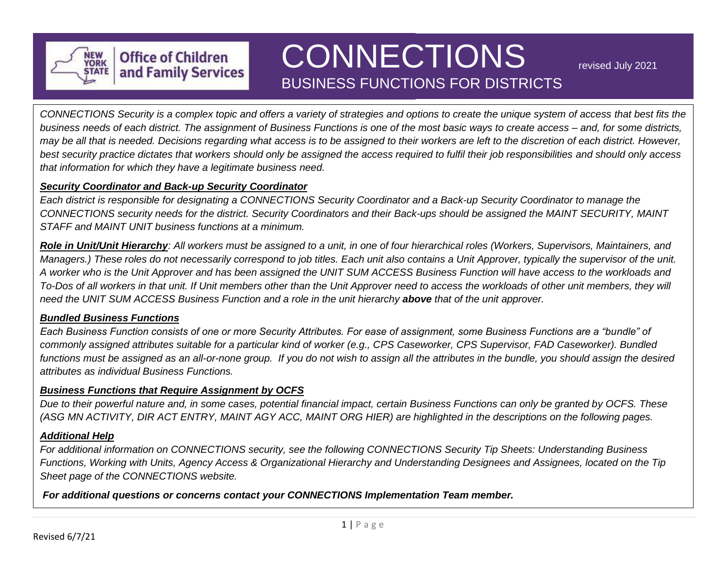

# BUSINESS FUNCTIONS FOR DISTRICTS **CONNECTIONS**

revised July 2021

*CONNECTIONS Security is a complex topic and offers a variety of strategies and options to create the unique system of access that best fits the business needs of each district. The assignment of Business Functions is one of the most basic ways to create access – and, for some districts, may be all that is needed. Decisions regarding what access is to be assigned to their workers are left to the discretion of each district. However, best security practice dictates that workers should only be assigned the access required to fulfil their job responsibilities and should only access that information for which they have a legitimate business need.*

#### *Security Coordinator and Back-up Security Coordinator*

**Office of Children** and Family Services

*Each district is responsible for designating a CONNECTIONS Security Coordinator and a Back-up Security Coordinator to manage the CONNECTIONS security needs for the district. Security Coordinators and their Back-ups should be assigned the MAINT SECURITY, MAINT STAFF and MAINT UNIT business functions at a minimum.* 

*Role in Unit/Unit Hierarchy: All workers must be assigned to a unit, in one of four hierarchical roles (Workers, Supervisors, Maintainers, and Managers.) These roles do not necessarily correspond to job titles. Each unit also contains a Unit Approver, typically the supervisor of the unit. A worker who is the Unit Approver and has been assigned the UNIT SUM ACCESS Business Function will have access to the workloads and To-Dos of all workers in that unit. If Unit members other than the Unit Approver need to access the workloads of other unit members, they will need the UNIT SUM ACCESS Business Function and a role in the unit hierarchy above that of the unit approver.*

### *Bundled Business Functions*

*Each Business Function consists of one or more Security Attributes. For ease of assignment, some Business Functions are a "bundle" of commonly assigned attributes suitable for a particular kind of worker (e.g., CPS Caseworker, CPS Supervisor, FAD Caseworker). Bundled functions must be assigned as an all-or-none group. If you do not wish to assign all the attributes in the bundle, you should assign the desired attributes as individual Business Functions.*

#### *Business Functions that Require Assignment by OCFS*

*Due to their powerful nature and, in some cases, potential financial impact, certain Business Functions can only be granted by OCFS. These (ASG MN ACTIVITY, DIR ACT ENTRY, MAINT AGY ACC, MAINT ORG HIER) are highlighted in the descriptions on the following pages.*

#### *Additional Help*

*For additional information on CONNECTIONS security, see the following CONNECTIONS Security Tip Sheets: Understanding Business Functions, Working with Units, Agency Access & Organizational Hierarchy and Understanding Designees and Assignees, located on the Tip Sheet page of the CONNECTIONS website.*

*For additional questions or concerns contact your CONNECTIONS Implementation Team member.*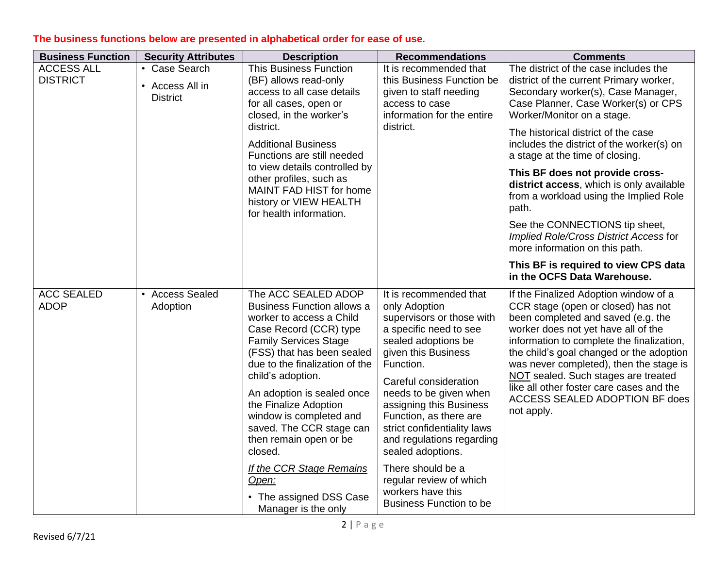| <b>Business Function</b>             | <b>Security Attributes</b>                          | <b>Description</b>                                                                                                                                                                                                                                                                                                                                                                                                                                                                   | <b>Recommendations</b>                                                                                                                                                                                                                                                                                                                                                                                                                                    | <b>Comments</b>                                                                                                                                                                                                                                                                                                                                                                                                                                                                                                                                                                                                                           |
|--------------------------------------|-----------------------------------------------------|--------------------------------------------------------------------------------------------------------------------------------------------------------------------------------------------------------------------------------------------------------------------------------------------------------------------------------------------------------------------------------------------------------------------------------------------------------------------------------------|-----------------------------------------------------------------------------------------------------------------------------------------------------------------------------------------------------------------------------------------------------------------------------------------------------------------------------------------------------------------------------------------------------------------------------------------------------------|-------------------------------------------------------------------------------------------------------------------------------------------------------------------------------------------------------------------------------------------------------------------------------------------------------------------------------------------------------------------------------------------------------------------------------------------------------------------------------------------------------------------------------------------------------------------------------------------------------------------------------------------|
| <b>ACCESS ALL</b><br><b>DISTRICT</b> | • Case Search<br>• Access All in<br><b>District</b> | <b>This Business Function</b><br>(BF) allows read-only<br>access to all case details<br>for all cases, open or<br>closed, in the worker's<br>district.<br><b>Additional Business</b><br>Functions are still needed<br>to view details controlled by<br>other profiles, such as<br>MAINT FAD HIST for home<br>history or VIEW HEALTH<br>for health information.                                                                                                                       | It is recommended that<br>this Business Function be<br>given to staff needing<br>access to case<br>information for the entire<br>district.                                                                                                                                                                                                                                                                                                                | The district of the case includes the<br>district of the current Primary worker,<br>Secondary worker(s), Case Manager,<br>Case Planner, Case Worker(s) or CPS<br>Worker/Monitor on a stage.<br>The historical district of the case<br>includes the district of the worker(s) on<br>a stage at the time of closing.<br>This BF does not provide cross-<br>district access, which is only available<br>from a workload using the Implied Role<br>path.<br>See the CONNECTIONS tip sheet,<br>Implied Role/Cross District Access for<br>more information on this path.<br>This BF is required to view CPS data<br>in the OCFS Data Warehouse. |
| <b>ACC SEALED</b><br><b>ADOP</b>     | • Access Sealed<br>Adoption                         | The ACC SEALED ADOP<br><b>Business Function allows a</b><br>worker to access a Child<br>Case Record (CCR) type<br><b>Family Services Stage</b><br>(FSS) that has been sealed<br>due to the finalization of the<br>child's adoption.<br>An adoption is sealed once<br>the Finalize Adoption<br>window is completed and<br>saved. The CCR stage can<br>then remain open or be<br>closed.<br>If the CCR Stage Remains<br><u>Open:</u><br>• The assigned DSS Case<br>Manager is the only | It is recommended that<br>only Adoption<br>supervisors or those with<br>a specific need to see<br>sealed adoptions be<br>given this Business<br>Function.<br>Careful consideration<br>needs to be given when<br>assigning this Business<br>Function, as there are<br>strict confidentiality laws<br>and regulations regarding<br>sealed adoptions.<br>There should be a<br>regular review of which<br>workers have this<br><b>Business Function to be</b> | If the Finalized Adoption window of a<br>CCR stage (open or closed) has not<br>been completed and saved (e.g. the<br>worker does not yet have all of the<br>information to complete the finalization,<br>the child's goal changed or the adoption<br>was never completed), then the stage is<br>NOT sealed. Such stages are treated<br>like all other foster care cases and the<br>ACCESS SEALED ADOPTION BF does<br>not apply.                                                                                                                                                                                                           |

## **The business functions below are presented in alphabetical order for ease of use.**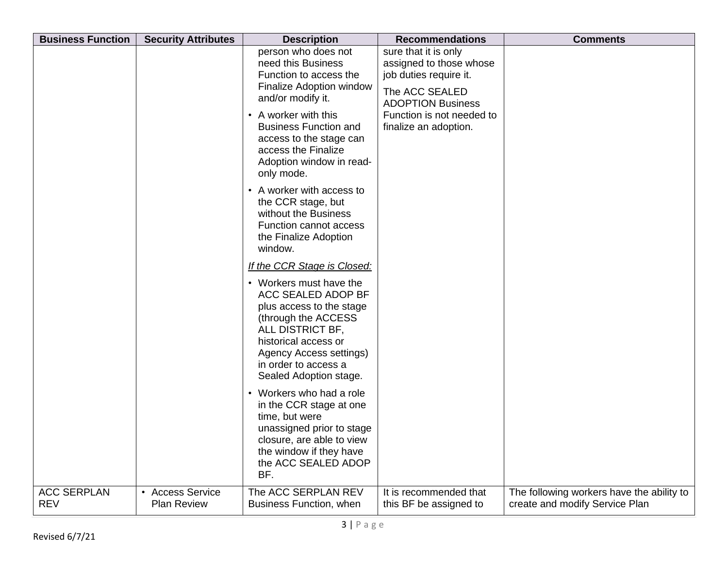| <b>Business Function</b>         | <b>Security Attributes</b>             | <b>Description</b>                                                                                                                                                                                                                                                | <b>Recommendations</b>                                                                                                                                                        | <b>Comments</b>                                                             |
|----------------------------------|----------------------------------------|-------------------------------------------------------------------------------------------------------------------------------------------------------------------------------------------------------------------------------------------------------------------|-------------------------------------------------------------------------------------------------------------------------------------------------------------------------------|-----------------------------------------------------------------------------|
|                                  |                                        | person who does not<br>need this Business<br>Function to access the<br><b>Finalize Adoption window</b><br>and/or modify it.<br>• A worker with this<br><b>Business Function and</b><br>access to the stage can<br>access the Finalize<br>Adoption window in read- | sure that it is only<br>assigned to those whose<br>job duties require it.<br>The ACC SEALED<br><b>ADOPTION Business</b><br>Function is not needed to<br>finalize an adoption. |                                                                             |
|                                  |                                        | only mode.<br>• A worker with access to<br>the CCR stage, but<br>without the Business<br>Function cannot access<br>the Finalize Adoption<br>window.                                                                                                               |                                                                                                                                                                               |                                                                             |
|                                  |                                        | If the CCR Stage is Closed:<br>• Workers must have the<br>ACC SEALED ADOP BF<br>plus access to the stage<br>(through the ACCESS<br>ALL DISTRICT BF,<br>historical access or<br>Agency Access settings)<br>in order to access a<br>Sealed Adoption stage.          |                                                                                                                                                                               |                                                                             |
|                                  |                                        | • Workers who had a role<br>in the CCR stage at one<br>time, but were<br>unassigned prior to stage<br>closure, are able to view<br>the window if they have<br>the ACC SEALED ADOP<br>BF.                                                                          |                                                                                                                                                                               |                                                                             |
| <b>ACC SERPLAN</b><br><b>REV</b> | • Access Service<br><b>Plan Review</b> | The ACC SERPLAN REV<br>Business Function, when                                                                                                                                                                                                                    | It is recommended that<br>this BF be assigned to                                                                                                                              | The following workers have the ability to<br>create and modify Service Plan |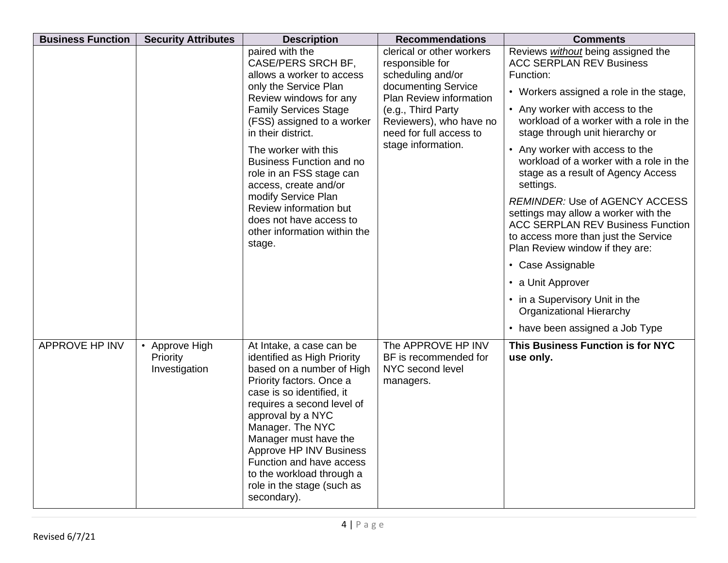| <b>Business Function</b> | <b>Security Attributes</b>                  | <b>Description</b>                                                                                                                                                                                                                                                                                                                                                             | <b>Recommendations</b>                                                       | <b>Comments</b>                                                                                                                                                                                      |
|--------------------------|---------------------------------------------|--------------------------------------------------------------------------------------------------------------------------------------------------------------------------------------------------------------------------------------------------------------------------------------------------------------------------------------------------------------------------------|------------------------------------------------------------------------------|------------------------------------------------------------------------------------------------------------------------------------------------------------------------------------------------------|
|                          |                                             | paired with the<br><b>CASE/PERS SRCH BF,</b><br>allows a worker to access                                                                                                                                                                                                                                                                                                      | clerical or other workers<br>responsible for<br>scheduling and/or            | Reviews without being assigned the<br><b>ACC SERPLAN REV Business</b><br>Function:                                                                                                                   |
|                          |                                             | only the Service Plan<br>Review windows for any                                                                                                                                                                                                                                                                                                                                | documenting Service<br>Plan Review information                               | • Workers assigned a role in the stage,                                                                                                                                                              |
|                          |                                             | <b>Family Services Stage</b><br>(FSS) assigned to a worker<br>in their district.                                                                                                                                                                                                                                                                                               | (e.g., Third Party<br>Reviewers), who have no<br>need for full access to     | • Any worker with access to the<br>workload of a worker with a role in the<br>stage through unit hierarchy or                                                                                        |
|                          |                                             | The worker with this<br><b>Business Function and no</b><br>role in an FSS stage can<br>access, create and/or<br>modify Service Plan<br>Review information but<br>does not have access to<br>other information within the<br>stage.                                                                                                                                             | stage information.                                                           | • Any worker with access to the<br>workload of a worker with a role in the<br>stage as a result of Agency Access<br>settings.                                                                        |
|                          |                                             |                                                                                                                                                                                                                                                                                                                                                                                |                                                                              | <b>REMINDER: Use of AGENCY ACCESS</b><br>settings may allow a worker with the<br><b>ACC SERPLAN REV Business Function</b><br>to access more than just the Service<br>Plan Review window if they are: |
|                          |                                             |                                                                                                                                                                                                                                                                                                                                                                                |                                                                              | • Case Assignable                                                                                                                                                                                    |
|                          |                                             |                                                                                                                                                                                                                                                                                                                                                                                |                                                                              | • a Unit Approver                                                                                                                                                                                    |
|                          |                                             |                                                                                                                                                                                                                                                                                                                                                                                |                                                                              | • in a Supervisory Unit in the<br><b>Organizational Hierarchy</b>                                                                                                                                    |
|                          |                                             |                                                                                                                                                                                                                                                                                                                                                                                |                                                                              | • have been assigned a Job Type                                                                                                                                                                      |
| APPROVE HP INV           | • Approve High<br>Priority<br>Investigation | At Intake, a case can be<br>identified as High Priority<br>based on a number of High<br>Priority factors. Once a<br>case is so identified, it<br>requires a second level of<br>approval by a NYC<br>Manager. The NYC<br>Manager must have the<br>Approve HP INV Business<br>Function and have access<br>to the workload through a<br>role in the stage (such as<br>secondary). | The APPROVE HP INV<br>BF is recommended for<br>NYC second level<br>managers. | This Business Function is for NYC<br>use only.                                                                                                                                                       |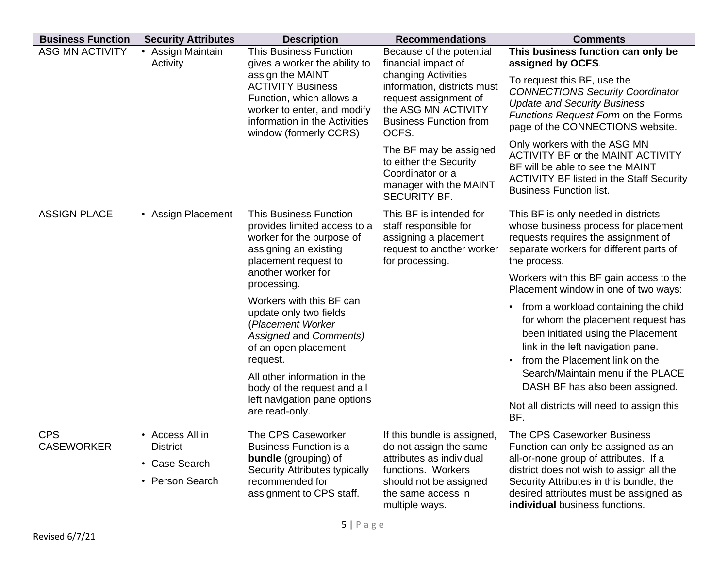| <b>Business Function</b>        | <b>Security Attributes</b>                                             | <b>Description</b>                                                                                                                                                                                                                                                                                                                                                                                                                         | <b>Recommendations</b>                                                                                                                                                                                                                                                                                                   | <b>Comments</b>                                                                                                                                                                                                                                                                                                                                                                                                                                                                                                                                                                          |
|---------------------------------|------------------------------------------------------------------------|--------------------------------------------------------------------------------------------------------------------------------------------------------------------------------------------------------------------------------------------------------------------------------------------------------------------------------------------------------------------------------------------------------------------------------------------|--------------------------------------------------------------------------------------------------------------------------------------------------------------------------------------------------------------------------------------------------------------------------------------------------------------------------|------------------------------------------------------------------------------------------------------------------------------------------------------------------------------------------------------------------------------------------------------------------------------------------------------------------------------------------------------------------------------------------------------------------------------------------------------------------------------------------------------------------------------------------------------------------------------------------|
| <b>ASG MN ACTIVITY</b>          | • Assign Maintain<br>Activity                                          | <b>This Business Function</b><br>gives a worker the ability to<br>assign the MAINT<br><b>ACTIVITY Business</b><br>Function, which allows a<br>worker to enter, and modify<br>information in the Activities<br>window (formerly CCRS)                                                                                                                                                                                                       | Because of the potential<br>financial impact of<br>changing Activities<br>information, districts must<br>request assignment of<br>the ASG MN ACTIVITY<br><b>Business Function from</b><br>OCFS.<br>The BF may be assigned<br>to either the Security<br>Coordinator or a<br>manager with the MAINT<br><b>SECURITY BF.</b> | This business function can only be<br>assigned by OCFS.<br>To request this BF, use the<br><b>CONNECTIONS Security Coordinator</b><br><b>Update and Security Business</b><br>Functions Request Form on the Forms<br>page of the CONNECTIONS website.<br>Only workers with the ASG MN<br>ACTIVITY BF or the MAINT ACTIVITY<br>BF will be able to see the MAINT<br><b>ACTIVITY BF listed in the Staff Security</b><br><b>Business Function list.</b>                                                                                                                                        |
| <b>ASSIGN PLACE</b>             | • Assign Placement                                                     | <b>This Business Function</b><br>provides limited access to a<br>worker for the purpose of<br>assigning an existing<br>placement request to<br>another worker for<br>processing.<br>Workers with this BF can<br>update only two fields<br>(Placement Worker<br>Assigned and Comments)<br>of an open placement<br>request.<br>All other information in the<br>body of the request and all<br>left navigation pane options<br>are read-only. | This BF is intended for<br>staff responsible for<br>assigning a placement<br>request to another worker<br>for processing.                                                                                                                                                                                                | This BF is only needed in districts<br>whose business process for placement<br>requests requires the assignment of<br>separate workers for different parts of<br>the process.<br>Workers with this BF gain access to the<br>Placement window in one of two ways:<br>from a workload containing the child<br>for whom the placement request has<br>been initiated using the Placement<br>link in the left navigation pane.<br>from the Placement link on the<br>Search/Maintain menu if the PLACE<br>DASH BF has also been assigned.<br>Not all districts will need to assign this<br>BF. |
| <b>CPS</b><br><b>CASEWORKER</b> | • Access All in<br><b>District</b><br>• Case Search<br>• Person Search | The CPS Caseworker<br><b>Business Function is a</b><br><b>bundle</b> (grouping) of<br>Security Attributes typically<br>recommended for<br>assignment to CPS staff.                                                                                                                                                                                                                                                                         | If this bundle is assigned,<br>do not assign the same<br>attributes as individual<br>functions. Workers<br>should not be assigned<br>the same access in<br>multiple ways.                                                                                                                                                | The CPS Caseworker Business<br>Function can only be assigned as an<br>all-or-none group of attributes. If a<br>district does not wish to assign all the<br>Security Attributes in this bundle, the<br>desired attributes must be assigned as<br>individual business functions.                                                                                                                                                                                                                                                                                                           |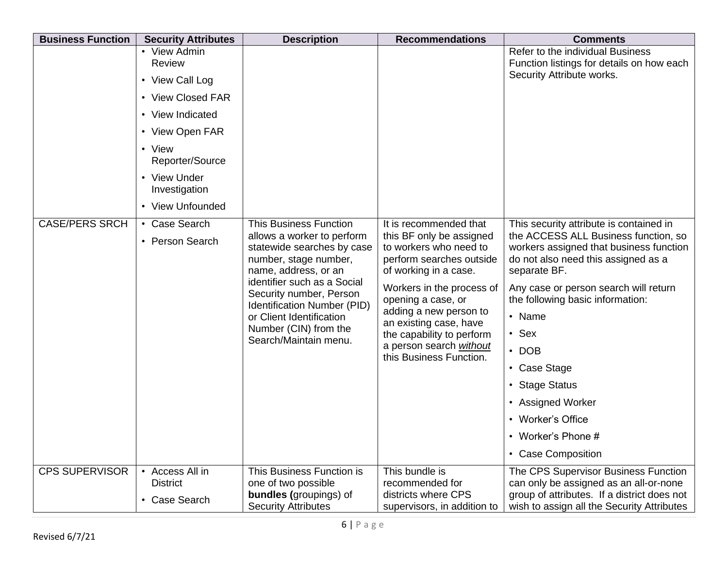| <b>Business Function</b> | <b>Security Attributes</b>                                                                                                                         | <b>Description</b>                                                                                                                                                                                                                                                                                                | <b>Recommendations</b>                                                                                                                                                                                                                                                                                                      | <b>Comments</b>                                                                                                                                                                                                                                                                                                                                                                                                                |
|--------------------------|----------------------------------------------------------------------------------------------------------------------------------------------------|-------------------------------------------------------------------------------------------------------------------------------------------------------------------------------------------------------------------------------------------------------------------------------------------------------------------|-----------------------------------------------------------------------------------------------------------------------------------------------------------------------------------------------------------------------------------------------------------------------------------------------------------------------------|--------------------------------------------------------------------------------------------------------------------------------------------------------------------------------------------------------------------------------------------------------------------------------------------------------------------------------------------------------------------------------------------------------------------------------|
|                          | • View Admin<br>Review<br>• View Call Log<br>• View Closed FAR<br>• View Indicated<br>• View Open FAR<br>• View<br>Reporter/Source<br>• View Under |                                                                                                                                                                                                                                                                                                                   |                                                                                                                                                                                                                                                                                                                             | Refer to the individual Business<br>Function listings for details on how each<br>Security Attribute works.                                                                                                                                                                                                                                                                                                                     |
|                          | Investigation<br>• View Unfounded                                                                                                                  |                                                                                                                                                                                                                                                                                                                   |                                                                                                                                                                                                                                                                                                                             |                                                                                                                                                                                                                                                                                                                                                                                                                                |
| <b>CASE/PERS SRCH</b>    | • Case Search<br>• Person Search                                                                                                                   | <b>This Business Function</b><br>allows a worker to perform<br>statewide searches by case<br>number, stage number,<br>name, address, or an<br>identifier such as a Social<br>Security number, Person<br>Identification Number (PID)<br>or Client Identification<br>Number (CIN) from the<br>Search/Maintain menu. | It is recommended that<br>this BF only be assigned<br>to workers who need to<br>perform searches outside<br>of working in a case.<br>Workers in the process of<br>opening a case, or<br>adding a new person to<br>an existing case, have<br>the capability to perform<br>a person search without<br>this Business Function. | This security attribute is contained in<br>the ACCESS ALL Business function, so<br>workers assigned that business function<br>do not also need this assigned as a<br>separate BF.<br>Any case or person search will return<br>the following basic information:<br>• Name<br>$\cdot$ Sex<br>$\cdot$ DOB<br>• Case Stage<br>• Stage Status<br>• Assigned Worker<br>• Worker's Office<br>• Worker's Phone #<br>• Case Composition |
| <b>CPS SUPERVISOR</b>    | • Access All in<br><b>District</b>                                                                                                                 | This Business Function is<br>one of two possible                                                                                                                                                                                                                                                                  | This bundle is<br>recommended for                                                                                                                                                                                                                                                                                           | The CPS Supervisor Business Function<br>can only be assigned as an all-or-none                                                                                                                                                                                                                                                                                                                                                 |
|                          | • Case Search                                                                                                                                      | <b>bundles</b> (groupings) of<br><b>Security Attributes</b>                                                                                                                                                                                                                                                       | districts where CPS<br>supervisors, in addition to                                                                                                                                                                                                                                                                          | group of attributes. If a district does not<br>wish to assign all the Security Attributes                                                                                                                                                                                                                                                                                                                                      |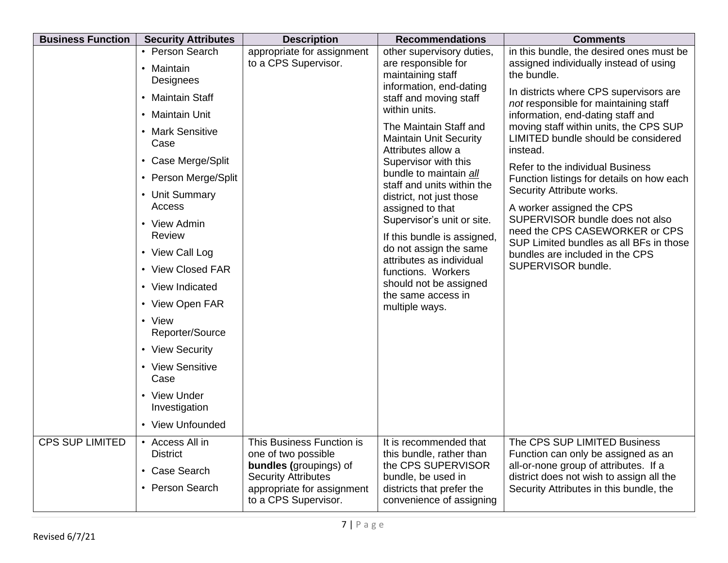| <b>Business Function</b> | <b>Security Attributes</b>                                                                                                                                                                                                                                                                 | <b>Description</b>                                                                                                                                                    | <b>Recommendations</b>                                                                                                                                                                                                                                                                | <b>Comments</b>                                                                                                                                                                                                                                                                                                                                            |
|--------------------------|--------------------------------------------------------------------------------------------------------------------------------------------------------------------------------------------------------------------------------------------------------------------------------------------|-----------------------------------------------------------------------------------------------------------------------------------------------------------------------|---------------------------------------------------------------------------------------------------------------------------------------------------------------------------------------------------------------------------------------------------------------------------------------|------------------------------------------------------------------------------------------------------------------------------------------------------------------------------------------------------------------------------------------------------------------------------------------------------------------------------------------------------------|
|                          | • Person Search<br>• Maintain<br>Designees<br>• Maintain Staff<br>• Maintain Unit<br>• Mark Sensitive<br>Case<br>• Case Merge/Split                                                                                                                                                        | appropriate for assignment<br>to a CPS Supervisor.                                                                                                                    | other supervisory duties,<br>are responsible for<br>maintaining staff<br>information, end-dating<br>staff and moving staff<br>within units.<br>The Maintain Staff and<br><b>Maintain Unit Security</b><br>Attributes allow a<br>Supervisor with this<br>bundle to maintain all        | in this bundle, the desired ones must be<br>assigned individually instead of using<br>the bundle.<br>In districts where CPS supervisors are<br>not responsible for maintaining staff<br>information, end-dating staff and<br>moving staff within units, the CPS SUP<br>LIMITED bundle should be considered<br>instead.<br>Refer to the individual Business |
|                          | • Person Merge/Split<br>• Unit Summary<br>Access<br>• View Admin<br>Review<br>• View Call Log<br>• View Closed FAR<br>• View Indicated<br>• View Open FAR<br>• View<br>Reporter/Source<br>• View Security<br>• View Sensitive<br>Case<br>• View Under<br>Investigation<br>• View Unfounded |                                                                                                                                                                       | staff and units within the<br>district, not just those<br>assigned to that<br>Supervisor's unit or site.<br>If this bundle is assigned,<br>do not assign the same<br>attributes as individual<br>functions. Workers<br>should not be assigned<br>the same access in<br>multiple ways. | Function listings for details on how each<br>Security Attribute works.<br>A worker assigned the CPS<br>SUPERVISOR bundle does not also<br>need the CPS CASEWORKER or CPS<br>SUP Limited bundles as all BFs in those<br>bundles are included in the CPS<br>SUPERVISOR bundle.                                                                               |
| <b>CPS SUP LIMITED</b>   | • Access All in<br><b>District</b><br>• Case Search<br>• Person Search                                                                                                                                                                                                                     | This Business Function is<br>one of two possible<br><b>bundles</b> (groupings) of<br><b>Security Attributes</b><br>appropriate for assignment<br>to a CPS Supervisor. | It is recommended that<br>this bundle, rather than<br>the CPS SUPERVISOR<br>bundle, be used in<br>districts that prefer the<br>convenience of assigning                                                                                                                               | The CPS SUP LIMITED Business<br>Function can only be assigned as an<br>all-or-none group of attributes. If a<br>district does not wish to assign all the<br>Security Attributes in this bundle, the                                                                                                                                                        |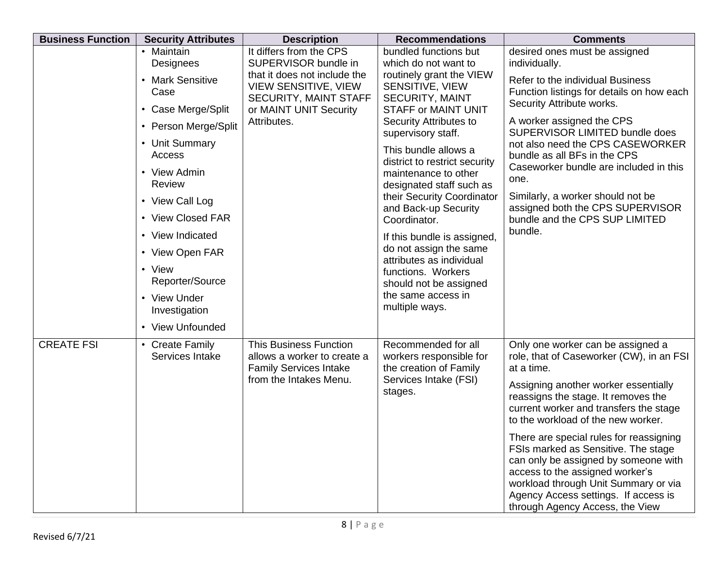| <b>Business Function</b> | <b>Security Attributes</b>         | <b>Description</b>                                                                            | <b>Recommendations</b>                                                   | <b>Comments</b>                                                                                                                                                                                                                                                              |
|--------------------------|------------------------------------|-----------------------------------------------------------------------------------------------|--------------------------------------------------------------------------|------------------------------------------------------------------------------------------------------------------------------------------------------------------------------------------------------------------------------------------------------------------------------|
|                          | • Maintain<br>Designees            | It differs from the CPS<br>SUPERVISOR bundle in                                               | bundled functions but<br>which do not want to                            | desired ones must be assigned<br>individually.                                                                                                                                                                                                                               |
|                          | • Mark Sensitive<br>Case           | that it does not include the<br><b>VIEW SENSITIVE, VIEW</b><br>SECURITY, MAINT STAFF          | routinely grant the VIEW<br>SENSITIVE, VIEW<br><b>SECURITY, MAINT</b>    | Refer to the individual Business<br>Function listings for details on how each<br>Security Attribute works.                                                                                                                                                                   |
|                          | • Case Merge/Split                 | or MAINT UNIT Security                                                                        | <b>STAFF or MAINT UNIT</b>                                               |                                                                                                                                                                                                                                                                              |
|                          | • Person Merge/Split               | Attributes.                                                                                   | Security Attributes to<br>supervisory staff.                             | A worker assigned the CPS<br>SUPERVISOR LIMITED bundle does                                                                                                                                                                                                                  |
|                          | • Unit Summary<br>Access           |                                                                                               | This bundle allows a<br>district to restrict security                    | not also need the CPS CASEWORKER<br>bundle as all BFs in the CPS                                                                                                                                                                                                             |
|                          | • View Admin<br>Review             |                                                                                               | maintenance to other<br>designated staff such as                         | Caseworker bundle are included in this<br>one.                                                                                                                                                                                                                               |
|                          | • View Call Log                    |                                                                                               | their Security Coordinator                                               | Similarly, a worker should not be                                                                                                                                                                                                                                            |
|                          | • View Closed FAR                  |                                                                                               | and Back-up Security<br>Coordinator.                                     | assigned both the CPS SUPERVISOR<br>bundle and the CPS SUP LIMITED                                                                                                                                                                                                           |
|                          | • View Indicated                   |                                                                                               | If this bundle is assigned,                                              | bundle.                                                                                                                                                                                                                                                                      |
|                          | • View Open FAR                    |                                                                                               | do not assign the same                                                   |                                                                                                                                                                                                                                                                              |
|                          | • View<br>Reporter/Source          |                                                                                               | attributes as individual<br>functions. Workers<br>should not be assigned |                                                                                                                                                                                                                                                                              |
|                          | • View Under<br>Investigation      |                                                                                               | the same access in<br>multiple ways.                                     |                                                                                                                                                                                                                                                                              |
|                          | • View Unfounded                   |                                                                                               |                                                                          |                                                                                                                                                                                                                                                                              |
| <b>CREATE FSI</b>        | • Create Family<br>Services Intake | <b>This Business Function</b><br>allows a worker to create a<br><b>Family Services Intake</b> | Recommended for all<br>workers responsible for<br>the creation of Family | Only one worker can be assigned a<br>role, that of Caseworker (CW), in an FSI<br>at a time.                                                                                                                                                                                  |
|                          |                                    | from the Intakes Menu.                                                                        | Services Intake (FSI)<br>stages.                                         | Assigning another worker essentially<br>reassigns the stage. It removes the<br>current worker and transfers the stage<br>to the workload of the new worker.                                                                                                                  |
|                          |                                    |                                                                                               |                                                                          | There are special rules for reassigning<br>FSIs marked as Sensitive. The stage<br>can only be assigned by someone with<br>access to the assigned worker's<br>workload through Unit Summary or via<br>Agency Access settings. If access is<br>through Agency Access, the View |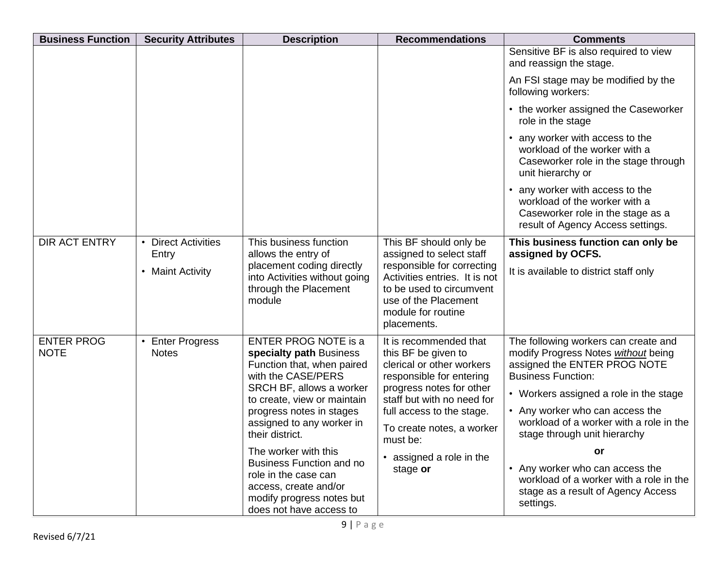| <b>Business Function</b>         | <b>Security Attributes</b>                         | <b>Description</b>                                                                                                                                        | <b>Recommendations</b>                                                                                                                               | <b>Comments</b>                                                                                                                            |
|----------------------------------|----------------------------------------------------|-----------------------------------------------------------------------------------------------------------------------------------------------------------|------------------------------------------------------------------------------------------------------------------------------------------------------|--------------------------------------------------------------------------------------------------------------------------------------------|
|                                  |                                                    |                                                                                                                                                           |                                                                                                                                                      | Sensitive BF is also required to view<br>and reassign the stage.                                                                           |
|                                  |                                                    |                                                                                                                                                           |                                                                                                                                                      | An FSI stage may be modified by the<br>following workers:                                                                                  |
|                                  |                                                    |                                                                                                                                                           |                                                                                                                                                      | • the worker assigned the Caseworker<br>role in the stage                                                                                  |
|                                  |                                                    |                                                                                                                                                           |                                                                                                                                                      | • any worker with access to the<br>workload of the worker with a<br>Caseworker role in the stage through<br>unit hierarchy or              |
|                                  |                                                    |                                                                                                                                                           |                                                                                                                                                      | • any worker with access to the<br>workload of the worker with a<br>Caseworker role in the stage as a<br>result of Agency Access settings. |
| <b>DIR ACT ENTRY</b>             | • Direct Activities<br>Entry                       | This business function<br>allows the entry of                                                                                                             | This BF should only be<br>assigned to select staff                                                                                                   | This business function can only be<br>assigned by OCFS.                                                                                    |
|                                  | • Maint Activity                                   | placement coding directly<br>into Activities without going<br>through the Placement<br>module                                                             | responsible for correcting<br>Activities entries. It is not<br>to be used to circumvent<br>use of the Placement<br>module for routine<br>placements. | It is available to district staff only                                                                                                     |
| <b>ENTER PROG</b><br><b>NOTE</b> | <b>Enter Progress</b><br>$\bullet$<br><b>Notes</b> | <b>ENTER PROG NOTE is a</b><br>specialty path Business<br>Function that, when paired                                                                      | It is recommended that<br>this BF be given to<br>clerical or other workers                                                                           | The following workers can create and<br>modify Progress Notes without being<br>assigned the ENTER PROG NOTE                                |
|                                  |                                                    | with the CASE/PERS<br>SRCH BF, allows a worker<br>to create, view or maintain<br>progress notes in stages<br>assigned to any worker in<br>their district. | responsible for entering<br>progress notes for other<br>staff but with no need for                                                                   | <b>Business Function:</b><br>• Workers assigned a role in the stage                                                                        |
|                                  |                                                    |                                                                                                                                                           | full access to the stage.<br>To create notes, a worker<br>must be:                                                                                   | • Any worker who can access the<br>workload of a worker with a role in the<br>stage through unit hierarchy                                 |
|                                  |                                                    | The worker with this                                                                                                                                      | • assigned a role in the                                                                                                                             | or                                                                                                                                         |
|                                  |                                                    | <b>Business Function and no</b><br>role in the case can<br>access, create and/or<br>modify progress notes but                                             | stage or                                                                                                                                             | • Any worker who can access the<br>workload of a worker with a role in the<br>stage as a result of Agency Access                           |
|                                  |                                                    | does not have access to                                                                                                                                   |                                                                                                                                                      | settings.                                                                                                                                  |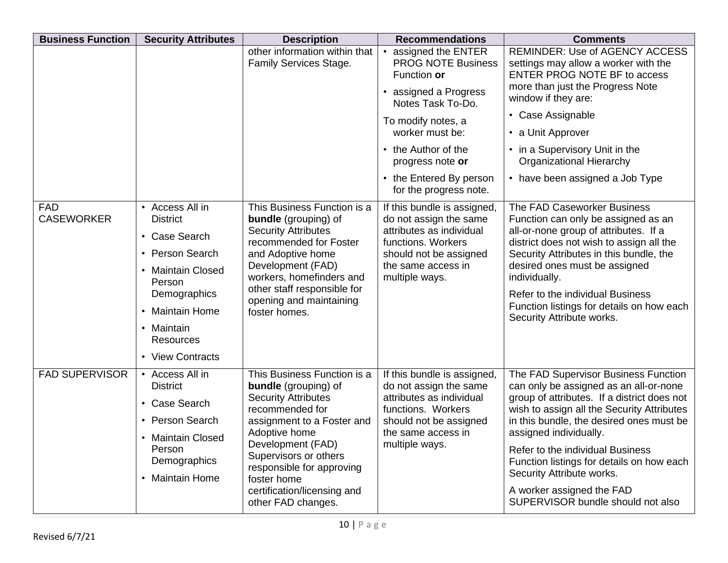| <b>Business Function</b>        | <b>Security Attributes</b>                                                                                                                                                              | <b>Description</b>                                                                                                                                                                                                                                                                                        | <b>Recommendations</b>                                                                                                                                                                                                                                | <b>Comments</b>                                                                                                                                                                                                                                                                                                                                                                                                                   |
|---------------------------------|-----------------------------------------------------------------------------------------------------------------------------------------------------------------------------------------|-----------------------------------------------------------------------------------------------------------------------------------------------------------------------------------------------------------------------------------------------------------------------------------------------------------|-------------------------------------------------------------------------------------------------------------------------------------------------------------------------------------------------------------------------------------------------------|-----------------------------------------------------------------------------------------------------------------------------------------------------------------------------------------------------------------------------------------------------------------------------------------------------------------------------------------------------------------------------------------------------------------------------------|
|                                 |                                                                                                                                                                                         | other information within that<br>Family Services Stage.                                                                                                                                                                                                                                                   | assigned the ENTER<br><b>PROG NOTE Business</b><br>Function or<br>• assigned a Progress<br>Notes Task To-Do.<br>To modify notes, a<br>worker must be:<br>• the Author of the<br>progress note or<br>• the Entered By person<br>for the progress note. | <b>REMINDER: Use of AGENCY ACCESS</b><br>settings may allow a worker with the<br><b>ENTER PROG NOTE BF to access</b><br>more than just the Progress Note<br>window if they are:<br>• Case Assignable<br>• a Unit Approver<br>• in a Supervisory Unit in the<br><b>Organizational Hierarchy</b><br>• have been assigned a Job Type                                                                                                 |
| <b>FAD</b><br><b>CASEWORKER</b> | • Access All in<br><b>District</b><br>• Case Search<br>• Person Search<br>• Maintain Closed<br>Person<br>Demographics<br>• Maintain Home<br>• Maintain<br>Resources<br>• View Contracts | This Business Function is a<br><b>bundle</b> (grouping) of<br><b>Security Attributes</b><br>recommended for Foster<br>and Adoptive home<br>Development (FAD)<br>workers, homefinders and<br>other staff responsible for<br>opening and maintaining<br>foster homes.                                       | If this bundle is assigned,<br>do not assign the same<br>attributes as individual<br>functions. Workers<br>should not be assigned<br>the same access in<br>multiple ways.                                                                             | The FAD Caseworker Business<br>Function can only be assigned as an<br>all-or-none group of attributes. If a<br>district does not wish to assign all the<br>Security Attributes in this bundle, the<br>desired ones must be assigned<br>individually.<br>Refer to the individual Business<br>Function listings for details on how each<br>Security Attribute works.                                                                |
| <b>FAD SUPERVISOR</b>           | • Access All in<br><b>District</b><br>• Case Search<br>• Person Search<br>• Maintain Closed<br>Person<br>Demographics<br><b>Maintain Home</b><br>$\bullet$                              | This Business Function is a<br><b>bundle</b> (grouping) of<br><b>Security Attributes</b><br>recommended for<br>assignment to a Foster and<br>Adoptive home<br>Development (FAD)<br>Supervisors or others<br>responsible for approving<br>foster home<br>certification/licensing and<br>other FAD changes. | If this bundle is assigned,<br>do not assign the same<br>attributes as individual<br>functions. Workers<br>should not be assigned<br>the same access in<br>multiple ways.                                                                             | The FAD Supervisor Business Function<br>can only be assigned as an all-or-none<br>group of attributes. If a district does not<br>wish to assign all the Security Attributes<br>in this bundle, the desired ones must be<br>assigned individually.<br>Refer to the individual Business<br>Function listings for details on how each<br>Security Attribute works.<br>A worker assigned the FAD<br>SUPERVISOR bundle should not also |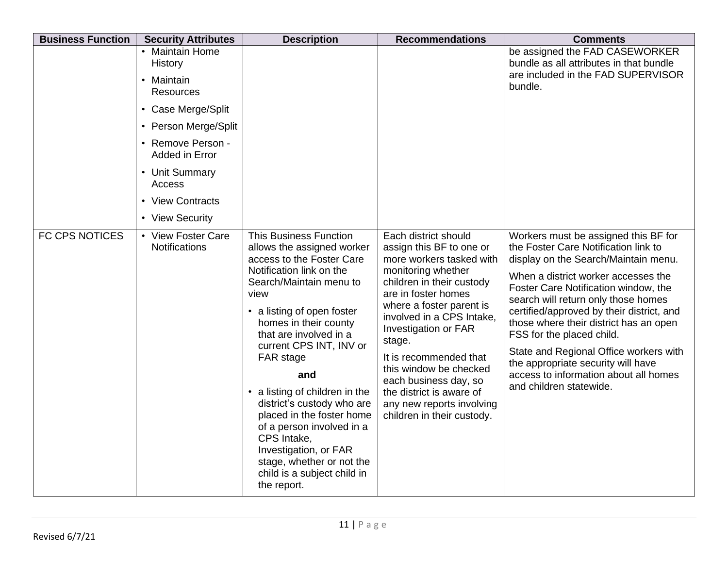| <b>Business Function</b> | <b>Security Attributes</b>                 | <b>Description</b>                                                                                                                                                                                                                                                                                                                                                                                                                                                                                                                 | <b>Recommendations</b>                                                                                                                                                                                                                                                                                                                                                                                                | <b>Comments</b>                                                                                                                                                                                                                                                                                                                                                                                                                                                                                                    |
|--------------------------|--------------------------------------------|------------------------------------------------------------------------------------------------------------------------------------------------------------------------------------------------------------------------------------------------------------------------------------------------------------------------------------------------------------------------------------------------------------------------------------------------------------------------------------------------------------------------------------|-----------------------------------------------------------------------------------------------------------------------------------------------------------------------------------------------------------------------------------------------------------------------------------------------------------------------------------------------------------------------------------------------------------------------|--------------------------------------------------------------------------------------------------------------------------------------------------------------------------------------------------------------------------------------------------------------------------------------------------------------------------------------------------------------------------------------------------------------------------------------------------------------------------------------------------------------------|
|                          | • Maintain Home<br>History<br>• Maintain   |                                                                                                                                                                                                                                                                                                                                                                                                                                                                                                                                    |                                                                                                                                                                                                                                                                                                                                                                                                                       | be assigned the FAD CASEWORKER<br>bundle as all attributes in that bundle<br>are included in the FAD SUPERVISOR                                                                                                                                                                                                                                                                                                                                                                                                    |
|                          | <b>Resources</b>                           |                                                                                                                                                                                                                                                                                                                                                                                                                                                                                                                                    |                                                                                                                                                                                                                                                                                                                                                                                                                       | bundle.                                                                                                                                                                                                                                                                                                                                                                                                                                                                                                            |
|                          | • Case Merge/Split                         |                                                                                                                                                                                                                                                                                                                                                                                                                                                                                                                                    |                                                                                                                                                                                                                                                                                                                                                                                                                       |                                                                                                                                                                                                                                                                                                                                                                                                                                                                                                                    |
|                          | • Person Merge/Split                       |                                                                                                                                                                                                                                                                                                                                                                                                                                                                                                                                    |                                                                                                                                                                                                                                                                                                                                                                                                                       |                                                                                                                                                                                                                                                                                                                                                                                                                                                                                                                    |
|                          | • Remove Person -<br>Added in Error        |                                                                                                                                                                                                                                                                                                                                                                                                                                                                                                                                    |                                                                                                                                                                                                                                                                                                                                                                                                                       |                                                                                                                                                                                                                                                                                                                                                                                                                                                                                                                    |
|                          | • Unit Summary<br>Access                   |                                                                                                                                                                                                                                                                                                                                                                                                                                                                                                                                    |                                                                                                                                                                                                                                                                                                                                                                                                                       |                                                                                                                                                                                                                                                                                                                                                                                                                                                                                                                    |
|                          | • View Contracts                           |                                                                                                                                                                                                                                                                                                                                                                                                                                                                                                                                    |                                                                                                                                                                                                                                                                                                                                                                                                                       |                                                                                                                                                                                                                                                                                                                                                                                                                                                                                                                    |
|                          | • View Security                            |                                                                                                                                                                                                                                                                                                                                                                                                                                                                                                                                    |                                                                                                                                                                                                                                                                                                                                                                                                                       |                                                                                                                                                                                                                                                                                                                                                                                                                                                                                                                    |
| <b>FC CPS NOTICES</b>    | • View Foster Care<br><b>Notifications</b> | <b>This Business Function</b><br>allows the assigned worker<br>access to the Foster Care<br>Notification link on the<br>Search/Maintain menu to<br>view<br>• a listing of open foster<br>homes in their county<br>that are involved in a<br>current CPS INT, INV or<br>FAR stage<br>and<br>a listing of children in the<br>district's custody who are<br>placed in the foster home<br>of a person involved in a<br>CPS Intake,<br>Investigation, or FAR<br>stage, whether or not the<br>child is a subject child in<br>the report. | Each district should<br>assign this BF to one or<br>more workers tasked with<br>monitoring whether<br>children in their custody<br>are in foster homes<br>where a foster parent is<br>involved in a CPS Intake,<br>Investigation or FAR<br>stage.<br>It is recommended that<br>this window be checked<br>each business day, so<br>the district is aware of<br>any new reports involving<br>children in their custody. | Workers must be assigned this BF for<br>the Foster Care Notification link to<br>display on the Search/Maintain menu.<br>When a district worker accesses the<br>Foster Care Notification window, the<br>search will return only those homes<br>certified/approved by their district, and<br>those where their district has an open<br>FSS for the placed child.<br>State and Regional Office workers with<br>the appropriate security will have<br>access to information about all homes<br>and children statewide. |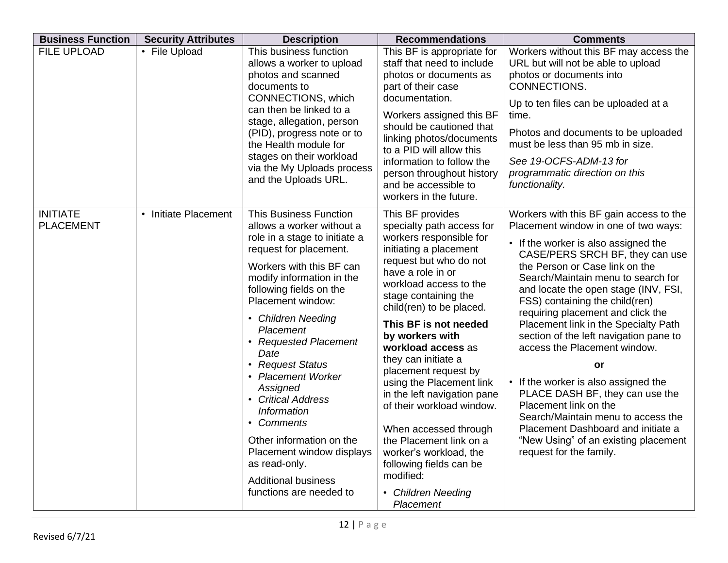| <b>Business Function</b>            | <b>Security Attributes</b> | <b>Description</b>                                                                                                                                                                                                                                                                                                                                                                                                                                                                                                                             | <b>Recommendations</b>                                                                                                                                                                                                                                                                                                                                                                                                                                                                                                                                                                            | <b>Comments</b>                                                                                                                                                                                                                                                                                                                                                                                                                                                                                                                                                                                                                                                                                                              |
|-------------------------------------|----------------------------|------------------------------------------------------------------------------------------------------------------------------------------------------------------------------------------------------------------------------------------------------------------------------------------------------------------------------------------------------------------------------------------------------------------------------------------------------------------------------------------------------------------------------------------------|---------------------------------------------------------------------------------------------------------------------------------------------------------------------------------------------------------------------------------------------------------------------------------------------------------------------------------------------------------------------------------------------------------------------------------------------------------------------------------------------------------------------------------------------------------------------------------------------------|------------------------------------------------------------------------------------------------------------------------------------------------------------------------------------------------------------------------------------------------------------------------------------------------------------------------------------------------------------------------------------------------------------------------------------------------------------------------------------------------------------------------------------------------------------------------------------------------------------------------------------------------------------------------------------------------------------------------------|
| FILE UPLOAD                         | • File Upload              | This business function<br>allows a worker to upload<br>photos and scanned<br>documents to<br>CONNECTIONS, which<br>can then be linked to a<br>stage, allegation, person<br>(PID), progress note or to<br>the Health module for<br>stages on their workload<br>via the My Uploads process<br>and the Uploads URL.                                                                                                                                                                                                                               | This BF is appropriate for<br>staff that need to include<br>photos or documents as<br>part of their case<br>documentation.<br>Workers assigned this BF<br>should be cautioned that<br>linking photos/documents<br>to a PID will allow this<br>information to follow the<br>person throughout history<br>and be accessible to<br>workers in the future.                                                                                                                                                                                                                                            | Workers without this BF may access the<br>URL but will not be able to upload<br>photos or documents into<br>CONNECTIONS.<br>Up to ten files can be uploaded at a<br>time.<br>Photos and documents to be uploaded<br>must be less than 95 mb in size.<br>See 19-OCFS-ADM-13 for<br>programmatic direction on this<br>functionality.                                                                                                                                                                                                                                                                                                                                                                                           |
| <b>INITIATE</b><br><b>PLACEMENT</b> | • Initiate Placement       | <b>This Business Function</b><br>allows a worker without a<br>role in a stage to initiate a<br>request for placement.<br>Workers with this BF can<br>modify information in the<br>following fields on the<br>Placement window:<br>• Children Needing<br>Placement<br>• Requested Placement<br>Date<br>• Request Status<br>• Placement Worker<br>Assigned<br>• Critical Address<br>Information<br>• Comments<br>Other information on the<br>Placement window displays<br>as read-only.<br><b>Additional business</b><br>functions are needed to | This BF provides<br>specialty path access for<br>workers responsible for<br>initiating a placement<br>request but who do not<br>have a role in or<br>workload access to the<br>stage containing the<br>child(ren) to be placed.<br>This BF is not needed<br>by workers with<br>workload access as<br>they can initiate a<br>placement request by<br>using the Placement link<br>in the left navigation pane<br>of their workload window.<br>When accessed through<br>the Placement link on a<br>worker's workload, the<br>following fields can be<br>modified:<br>• Children Needing<br>Placement | Workers with this BF gain access to the<br>Placement window in one of two ways:<br>• If the worker is also assigned the<br>CASE/PERS SRCH BF, they can use<br>the Person or Case link on the<br>Search/Maintain menu to search for<br>and locate the open stage (INV, FSI,<br>FSS) containing the child(ren)<br>requiring placement and click the<br>Placement link in the Specialty Path<br>section of the left navigation pane to<br>access the Placement window.<br>or<br>• If the worker is also assigned the<br>PLACE DASH BF, they can use the<br>Placement link on the<br>Search/Maintain menu to access the<br>Placement Dashboard and initiate a<br>"New Using" of an existing placement<br>request for the family. |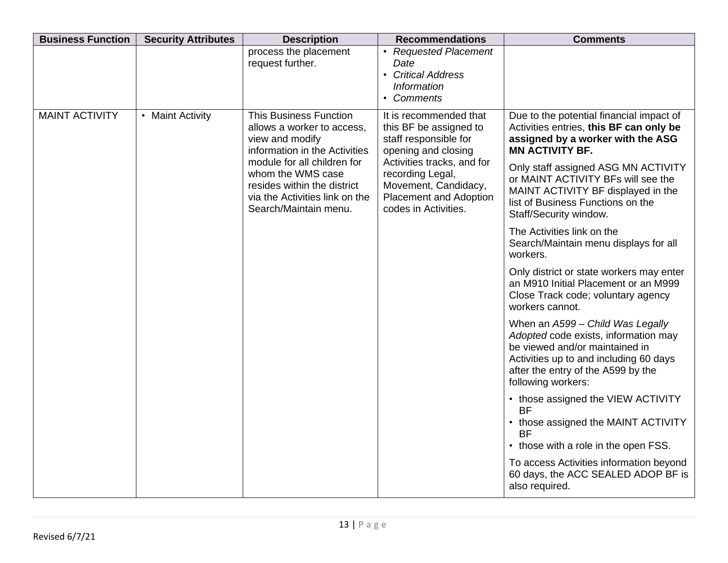| <b>Business Function</b> | <b>Security Attributes</b> | <b>Description</b>                                                                                                                         | <b>Recommendations</b>                                                                                                          | <b>Comments</b>                                                                                                                                                                                                  |
|--------------------------|----------------------------|--------------------------------------------------------------------------------------------------------------------------------------------|---------------------------------------------------------------------------------------------------------------------------------|------------------------------------------------------------------------------------------------------------------------------------------------------------------------------------------------------------------|
|                          |                            | process the placement<br>request further.                                                                                                  | • Requested Placement<br>Date<br>• Critical Address<br><b>Information</b><br>• Comments                                         |                                                                                                                                                                                                                  |
| <b>MAINT ACTIVITY</b>    | • Maint Activity           | <b>This Business Function</b><br>allows a worker to access,<br>view and modify<br>information in the Activities                            | It is recommended that<br>this BF be assigned to<br>staff responsible for<br>opening and closing                                | Due to the potential financial impact of<br>Activities entries, this BF can only be<br>assigned by a worker with the ASG<br><b>MN ACTIVITY BF.</b>                                                               |
|                          |                            | module for all children for<br>whom the WMS case<br>resides within the district<br>via the Activities link on the<br>Search/Maintain menu. | Activities tracks, and for<br>recording Legal,<br>Movement, Candidacy,<br><b>Placement and Adoption</b><br>codes in Activities. | Only staff assigned ASG MN ACTIVITY<br>or MAINT ACTIVITY BFs will see the<br>MAINT ACTIVITY BF displayed in the<br>list of Business Functions on the<br>Staff/Security window.                                   |
|                          |                            |                                                                                                                                            |                                                                                                                                 | The Activities link on the<br>Search/Maintain menu displays for all<br>workers.                                                                                                                                  |
|                          |                            |                                                                                                                                            |                                                                                                                                 | Only district or state workers may enter<br>an M910 Initial Placement or an M999<br>Close Track code; voluntary agency<br>workers cannot.                                                                        |
|                          |                            |                                                                                                                                            |                                                                                                                                 | When an A599 - Child Was Legally<br>Adopted code exists, information may<br>be viewed and/or maintained in<br>Activities up to and including 60 days<br>after the entry of the A599 by the<br>following workers: |
|                          |                            |                                                                                                                                            |                                                                                                                                 | • those assigned the VIEW ACTIVITY<br><b>BF</b><br>• those assigned the MAINT ACTIVITY<br><b>BF</b>                                                                                                              |
|                          |                            |                                                                                                                                            |                                                                                                                                 | • those with a role in the open FSS.                                                                                                                                                                             |
|                          |                            |                                                                                                                                            |                                                                                                                                 | To access Activities information beyond<br>60 days, the ACC SEALED ADOP BF is<br>also required.                                                                                                                  |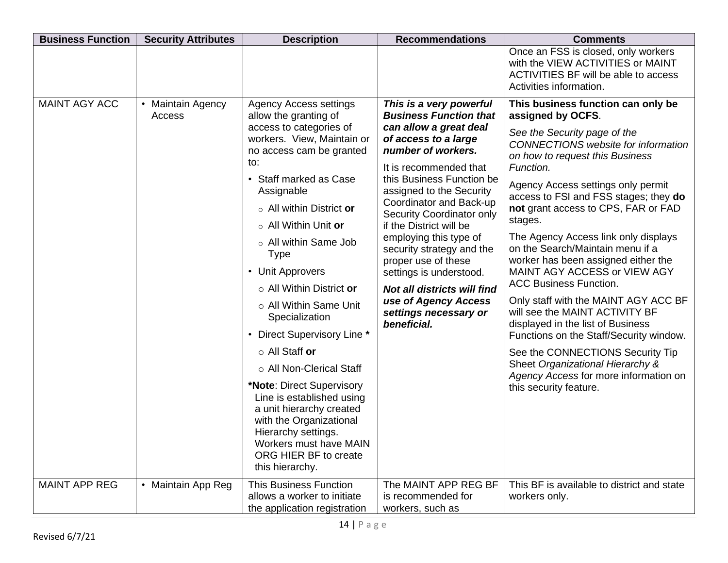| <b>Business Function</b> | <b>Security Attributes</b>             | <b>Description</b>                                                                                                                                                                                                                                                                                                                                                                                                                                                                                                                                                                                                                                                                        | <b>Recommendations</b>                                                                                                                                                                                                                                                                                                                                                                                                                                                                                                | <b>Comments</b>                                                                                                                                                                                                                                                                                                                                                                                                                                                                                                                                                                                                                                                                                                                                                                                                 |
|--------------------------|----------------------------------------|-------------------------------------------------------------------------------------------------------------------------------------------------------------------------------------------------------------------------------------------------------------------------------------------------------------------------------------------------------------------------------------------------------------------------------------------------------------------------------------------------------------------------------------------------------------------------------------------------------------------------------------------------------------------------------------------|-----------------------------------------------------------------------------------------------------------------------------------------------------------------------------------------------------------------------------------------------------------------------------------------------------------------------------------------------------------------------------------------------------------------------------------------------------------------------------------------------------------------------|-----------------------------------------------------------------------------------------------------------------------------------------------------------------------------------------------------------------------------------------------------------------------------------------------------------------------------------------------------------------------------------------------------------------------------------------------------------------------------------------------------------------------------------------------------------------------------------------------------------------------------------------------------------------------------------------------------------------------------------------------------------------------------------------------------------------|
|                          |                                        |                                                                                                                                                                                                                                                                                                                                                                                                                                                                                                                                                                                                                                                                                           |                                                                                                                                                                                                                                                                                                                                                                                                                                                                                                                       | Once an FSS is closed, only workers<br>with the VIEW ACTIVITIES or MAINT<br>ACTIVITIES BF will be able to access<br>Activities information.                                                                                                                                                                                                                                                                                                                                                                                                                                                                                                                                                                                                                                                                     |
| MAINT AGY ACC            | Maintain Agency<br>$\bullet$<br>Access | <b>Agency Access settings</b><br>allow the granting of<br>access to categories of<br>workers. View, Maintain or<br>no access cam be granted<br>to:<br>• Staff marked as Case<br>Assignable<br>$\circ$ All within District or<br>o All Within Unit or<br>o All within Same Job<br><b>Type</b><br>• Unit Approvers<br>o All Within District or<br>o All Within Same Unit<br>Specialization<br>• Direct Supervisory Line *<br>$\circ$ All Staff or<br>o All Non-Clerical Staff<br>*Note: Direct Supervisory<br>Line is established using<br>a unit hierarchy created<br>with the Organizational<br>Hierarchy settings.<br>Workers must have MAIN<br>ORG HIER BF to create<br>this hierarchy. | This is a very powerful<br><b>Business Function that</b><br>can allow a great deal<br>of access to a large<br>number of workers.<br>It is recommended that<br>this Business Function be<br>assigned to the Security<br>Coordinator and Back-up<br>Security Coordinator only<br>if the District will be<br>employing this type of<br>security strategy and the<br>proper use of these<br>settings is understood.<br><b>Not all districts will find</b><br>use of Agency Access<br>settings necessary or<br>beneficial. | This business function can only be<br>assigned by OCFS.<br>See the Security page of the<br><b>CONNECTIONS</b> website for information<br>on how to request this Business<br>Function.<br>Agency Access settings only permit<br>access to FSI and FSS stages; they do<br>not grant access to CPS, FAR or FAD<br>stages.<br>The Agency Access link only displays<br>on the Search/Maintain menu if a<br>worker has been assigned either the<br>MAINT AGY ACCESS or VIEW AGY<br><b>ACC Business Function.</b><br>Only staff with the MAINT AGY ACC BF<br>will see the MAINT ACTIVITY BF<br>displayed in the list of Business<br>Functions on the Staff/Security window.<br>See the CONNECTIONS Security Tip<br>Sheet Organizational Hierarchy &<br>Agency Access for more information on<br>this security feature. |
| <b>MAINT APP REG</b>     | • Maintain App Reg                     | <b>This Business Function</b><br>allows a worker to initiate<br>the application registration                                                                                                                                                                                                                                                                                                                                                                                                                                                                                                                                                                                              | The MAINT APP REG BF<br>is recommended for<br>workers, such as                                                                                                                                                                                                                                                                                                                                                                                                                                                        | This BF is available to district and state<br>workers only.                                                                                                                                                                                                                                                                                                                                                                                                                                                                                                                                                                                                                                                                                                                                                     |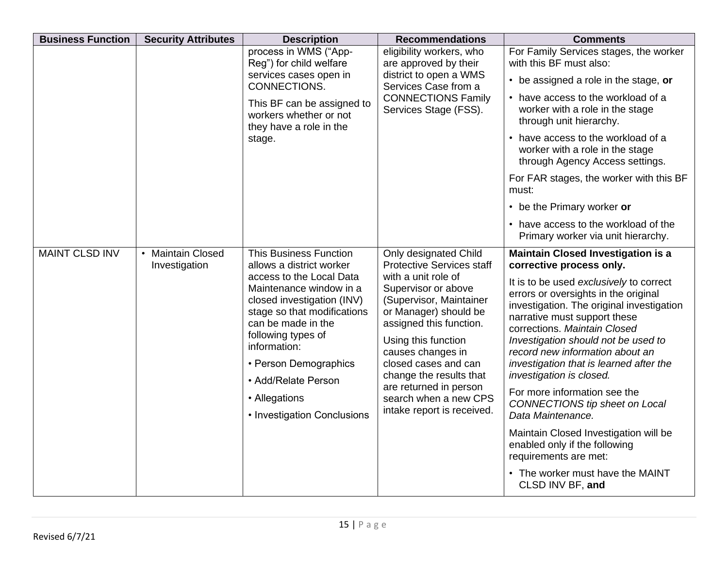| <b>Business Function</b> | <b>Security Attributes</b>         | <b>Description</b>                                                                                                                                                                                                                                                                                                                        | <b>Recommendations</b>                                                                                                                                                                                                                                                                                                                                                 | <b>Comments</b>                                                                                                                                                                                                                                                                                                                                                                                                                                                                                                                                                                                                  |
|--------------------------|------------------------------------|-------------------------------------------------------------------------------------------------------------------------------------------------------------------------------------------------------------------------------------------------------------------------------------------------------------------------------------------|------------------------------------------------------------------------------------------------------------------------------------------------------------------------------------------------------------------------------------------------------------------------------------------------------------------------------------------------------------------------|------------------------------------------------------------------------------------------------------------------------------------------------------------------------------------------------------------------------------------------------------------------------------------------------------------------------------------------------------------------------------------------------------------------------------------------------------------------------------------------------------------------------------------------------------------------------------------------------------------------|
|                          |                                    | process in WMS ("App-<br>Reg") for child welfare                                                                                                                                                                                                                                                                                          | eligibility workers, who<br>are approved by their                                                                                                                                                                                                                                                                                                                      | For Family Services stages, the worker<br>with this BF must also:                                                                                                                                                                                                                                                                                                                                                                                                                                                                                                                                                |
|                          |                                    | services cases open in<br>CONNECTIONS.<br>This BF can be assigned to<br>workers whether or not<br>they have a role in the                                                                                                                                                                                                                 | district to open a WMS<br>Services Case from a                                                                                                                                                                                                                                                                                                                         | • be assigned a role in the stage, or                                                                                                                                                                                                                                                                                                                                                                                                                                                                                                                                                                            |
|                          |                                    |                                                                                                                                                                                                                                                                                                                                           | <b>CONNECTIONS Family</b><br>Services Stage (FSS).                                                                                                                                                                                                                                                                                                                     | • have access to the workload of a<br>worker with a role in the stage<br>through unit hierarchy.                                                                                                                                                                                                                                                                                                                                                                                                                                                                                                                 |
|                          |                                    | stage.                                                                                                                                                                                                                                                                                                                                    |                                                                                                                                                                                                                                                                                                                                                                        | • have access to the workload of a<br>worker with a role in the stage<br>through Agency Access settings.                                                                                                                                                                                                                                                                                                                                                                                                                                                                                                         |
|                          |                                    |                                                                                                                                                                                                                                                                                                                                           |                                                                                                                                                                                                                                                                                                                                                                        | For FAR stages, the worker with this BF<br>must:                                                                                                                                                                                                                                                                                                                                                                                                                                                                                                                                                                 |
|                          |                                    |                                                                                                                                                                                                                                                                                                                                           |                                                                                                                                                                                                                                                                                                                                                                        | • be the Primary worker or                                                                                                                                                                                                                                                                                                                                                                                                                                                                                                                                                                                       |
|                          |                                    |                                                                                                                                                                                                                                                                                                                                           |                                                                                                                                                                                                                                                                                                                                                                        | • have access to the workload of the<br>Primary worker via unit hierarchy.                                                                                                                                                                                                                                                                                                                                                                                                                                                                                                                                       |
| <b>MAINT CLSD INV</b>    | • Maintain Closed<br>Investigation | <b>This Business Function</b><br>allows a district worker<br>access to the Local Data<br>Maintenance window in a<br>closed investigation (INV)<br>stage so that modifications<br>can be made in the<br>following types of<br>information:<br>• Person Demographics<br>• Add/Relate Person<br>• Allegations<br>• Investigation Conclusions | Only designated Child<br><b>Protective Services staff</b><br>with a unit role of<br>Supervisor or above<br>(Supervisor, Maintainer<br>or Manager) should be<br>assigned this function.<br>Using this function<br>causes changes in<br>closed cases and can<br>change the results that<br>are returned in person<br>search when a new CPS<br>intake report is received. | <b>Maintain Closed Investigation is a</b><br>corrective process only.<br>It is to be used exclusively to correct<br>errors or oversights in the original<br>investigation. The original investigation<br>narrative must support these<br>corrections. Maintain Closed<br>Investigation should not be used to<br>record new information about an<br>investigation that is learned after the<br>investigation is closed.<br>For more information see the<br>CONNECTIONS tip sheet on Local<br>Data Maintenance.<br>Maintain Closed Investigation will be<br>enabled only if the following<br>requirements are met: |
|                          |                                    |                                                                                                                                                                                                                                                                                                                                           |                                                                                                                                                                                                                                                                                                                                                                        | • The worker must have the MAINT<br>CLSD INV BF, and                                                                                                                                                                                                                                                                                                                                                                                                                                                                                                                                                             |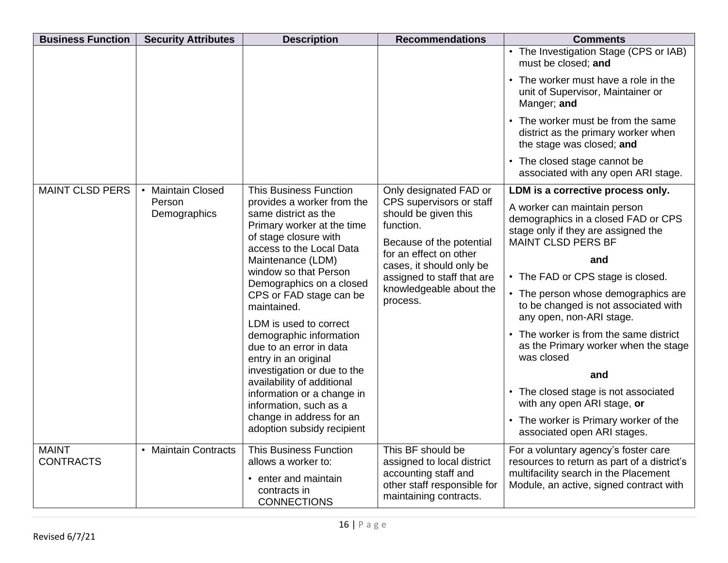| <b>Business Function</b>         | <b>Security Attributes</b>          | <b>Description</b>                                                                                                                                                         | <b>Recommendations</b>                                                                                                                                                        | <b>Comments</b>                                                                                                                         |  |  |  |  |                         |  |  |  |  |                                                                                                         |
|----------------------------------|-------------------------------------|----------------------------------------------------------------------------------------------------------------------------------------------------------------------------|-------------------------------------------------------------------------------------------------------------------------------------------------------------------------------|-----------------------------------------------------------------------------------------------------------------------------------------|--|--|--|--|-------------------------|--|--|--|--|---------------------------------------------------------------------------------------------------------|
|                                  |                                     |                                                                                                                                                                            |                                                                                                                                                                               | • The Investigation Stage (CPS or IAB)<br>must be closed; and                                                                           |  |  |  |  |                         |  |  |  |  |                                                                                                         |
|                                  |                                     |                                                                                                                                                                            |                                                                                                                                                                               | • The worker must have a role in the<br>unit of Supervisor, Maintainer or<br>Manger; and                                                |  |  |  |  |                         |  |  |  |  |                                                                                                         |
|                                  |                                     |                                                                                                                                                                            |                                                                                                                                                                               | • The worker must be from the same<br>district as the primary worker when<br>the stage was closed; and                                  |  |  |  |  |                         |  |  |  |  |                                                                                                         |
|                                  |                                     |                                                                                                                                                                            |                                                                                                                                                                               | • The closed stage cannot be<br>associated with any open ARI stage.                                                                     |  |  |  |  |                         |  |  |  |  |                                                                                                         |
| <b>MAINT CLSD PERS</b>           | <b>Maintain Closed</b><br>$\bullet$ | <b>This Business Function</b>                                                                                                                                              | Only designated FAD or                                                                                                                                                        | LDM is a corrective process only.                                                                                                       |  |  |  |  |                         |  |  |  |  |                                                                                                         |
|                                  | Person<br>Demographics              | provides a worker from the<br>same district as the<br>Primary worker at the time<br>of stage closure with<br>access to the Local Data<br>Maintenance (LDM)                 | CPS supervisors or staff<br>should be given this<br>function.<br>Because of the potential<br>for an effect on other<br>cases, it should only be<br>assigned to staff that are | A worker can maintain person<br>demographics in a closed FAD or CPS<br>stage only if they are assigned the<br><b>MAINT CLSD PERS BF</b> |  |  |  |  |                         |  |  |  |  |                                                                                                         |
|                                  |                                     |                                                                                                                                                                            |                                                                                                                                                                               | and                                                                                                                                     |  |  |  |  |                         |  |  |  |  |                                                                                                         |
|                                  |                                     | window so that Person                                                                                                                                                      |                                                                                                                                                                               | • The FAD or CPS stage is closed.                                                                                                       |  |  |  |  |                         |  |  |  |  |                                                                                                         |
|                                  |                                     | Demographics on a closed<br>CPS or FAD stage can be<br>maintained.<br>LDM is used to correct<br>demographic information<br>due to an error in data<br>entry in an original |                                                                                                                                                                               | process.                                                                                                                                |  |  |  |  | knowledgeable about the |  |  |  |  | • The person whose demographics are<br>to be changed is not associated with<br>any open, non-ARI stage. |
|                                  |                                     |                                                                                                                                                                            |                                                                                                                                                                               | • The worker is from the same district<br>as the Primary worker when the stage<br>was closed                                            |  |  |  |  |                         |  |  |  |  |                                                                                                         |
|                                  |                                     | investigation or due to the<br>availability of additional                                                                                                                  |                                                                                                                                                                               | and                                                                                                                                     |  |  |  |  |                         |  |  |  |  |                                                                                                         |
|                                  |                                     | information or a change in<br>information, such as a                                                                                                                       |                                                                                                                                                                               | • The closed stage is not associated<br>with any open ARI stage, or                                                                     |  |  |  |  |                         |  |  |  |  |                                                                                                         |
|                                  |                                     | change in address for an<br>adoption subsidy recipient                                                                                                                     |                                                                                                                                                                               | • The worker is Primary worker of the<br>associated open ARI stages.                                                                    |  |  |  |  |                         |  |  |  |  |                                                                                                         |
| <b>MAINT</b><br><b>CONTRACTS</b> | • Maintain Contracts                | <b>This Business Function</b><br>allows a worker to:<br>• enter and maintain                                                                                               | This BF should be<br>assigned to local district<br>accounting staff and                                                                                                       | For a voluntary agency's foster care<br>resources to return as part of a district's<br>multifacility search in the Placement            |  |  |  |  |                         |  |  |  |  |                                                                                                         |
|                                  |                                     | contracts in<br><b>CONNECTIONS</b>                                                                                                                                         | other staff responsible for<br>maintaining contracts.                                                                                                                         | Module, an active, signed contract with                                                                                                 |  |  |  |  |                         |  |  |  |  |                                                                                                         |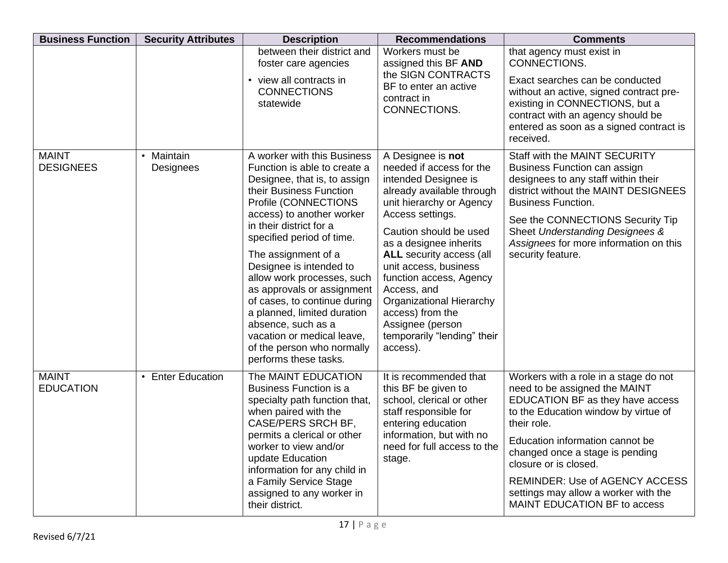| <b>Business Function</b>         | <b>Security Attributes</b>          | <b>Description</b>                                                                                                                                                                                                                                                                                                                                                                                                                                                                                                          | <b>Recommendations</b>                                                                                                                                                                                                                                                                                                                                                                                                      | <b>Comments</b>                                                                                                                                                                                                                                                                                                                                                                   |
|----------------------------------|-------------------------------------|-----------------------------------------------------------------------------------------------------------------------------------------------------------------------------------------------------------------------------------------------------------------------------------------------------------------------------------------------------------------------------------------------------------------------------------------------------------------------------------------------------------------------------|-----------------------------------------------------------------------------------------------------------------------------------------------------------------------------------------------------------------------------------------------------------------------------------------------------------------------------------------------------------------------------------------------------------------------------|-----------------------------------------------------------------------------------------------------------------------------------------------------------------------------------------------------------------------------------------------------------------------------------------------------------------------------------------------------------------------------------|
|                                  |                                     | between their district and<br>foster care agencies<br>• view all contracts in<br><b>CONNECTIONS</b><br>statewide                                                                                                                                                                                                                                                                                                                                                                                                            | Workers must be<br>assigned this BF AND<br>the SIGN CONTRACTS<br>BF to enter an active<br>contract in<br>CONNECTIONS.                                                                                                                                                                                                                                                                                                       | that agency must exist in<br>CONNECTIONS.<br>Exact searches can be conducted<br>without an active, signed contract pre-<br>existing in CONNECTIONS, but a<br>contract with an agency should be<br>entered as soon as a signed contract is<br>received.                                                                                                                            |
| <b>MAINT</b><br><b>DESIGNEES</b> | Maintain<br>$\bullet$<br>Designees  | A worker with this Business<br>Function is able to create a<br>Designee, that is, to assign<br>their Business Function<br>Profile (CONNECTIONS<br>access) to another worker<br>in their district for a<br>specified period of time.<br>The assignment of a<br>Designee is intended to<br>allow work processes, such<br>as approvals or assignment<br>of cases, to continue during<br>a planned, limited duration<br>absence, such as a<br>vacation or medical leave,<br>of the person who normally<br>performs these tasks. | A Designee is not<br>needed if access for the<br>intended Designee is<br>already available through<br>unit hierarchy or Agency<br>Access settings.<br>Caution should be used<br>as a designee inherits<br><b>ALL</b> security access (all<br>unit access, business<br>function access, Agency<br>Access, and<br>Organizational Hierarchy<br>access) from the<br>Assignee (person<br>temporarily "lending" their<br>access). | Staff with the MAINT SECURITY<br>Business Function can assign<br>designees to any staff within their<br>district without the MAINT DESIGNEES<br><b>Business Function.</b><br>See the CONNECTIONS Security Tip<br>Sheet Understanding Designees &<br>Assignees for more information on this<br>security feature.                                                                   |
| <b>MAINT</b><br><b>EDUCATION</b> | <b>Enter Education</b><br>$\bullet$ | The MAINT EDUCATION<br><b>Business Function is a</b><br>specialty path function that,<br>when paired with the<br>CASE/PERS SRCH BF,<br>permits a clerical or other<br>worker to view and/or<br>update Education<br>information for any child in<br>a Family Service Stage<br>assigned to any worker in<br>their district.                                                                                                                                                                                                   | It is recommended that<br>this BF be given to<br>school, clerical or other<br>staff responsible for<br>entering education<br>information, but with no<br>need for full access to the<br>stage.                                                                                                                                                                                                                              | Workers with a role in a stage do not<br>need to be assigned the MAINT<br>EDUCATION BF as they have access<br>to the Education window by virtue of<br>their role.<br>Education information cannot be<br>changed once a stage is pending<br>closure or is closed.<br><b>REMINDER: Use of AGENCY ACCESS</b><br>settings may allow a worker with the<br>MAINT EDUCATION BF to access |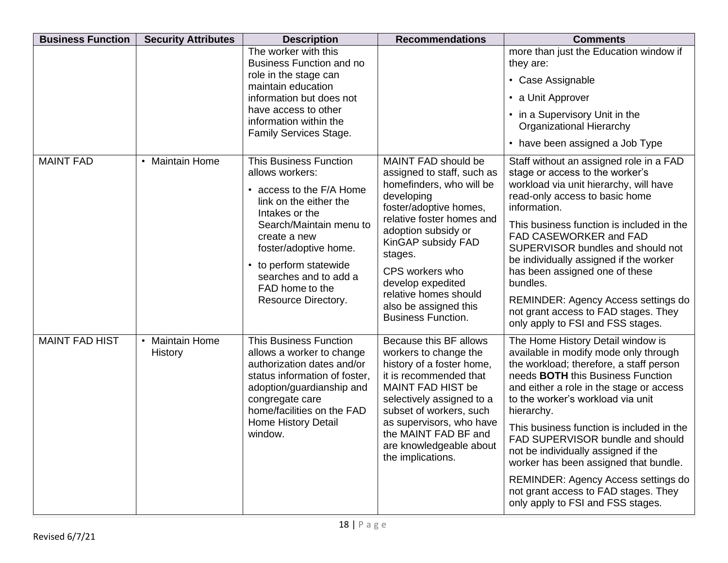| <b>Business Function</b> | <b>Security Attributes</b>                   | <b>Description</b>                                                                                                                                                                                                                                                                        | <b>Recommendations</b>                                                                                                                                                                                                                                                                                                            | <b>Comments</b>                                                                                                                                                                                                                                                                                                                                                                                                                                                                                                                                       |
|--------------------------|----------------------------------------------|-------------------------------------------------------------------------------------------------------------------------------------------------------------------------------------------------------------------------------------------------------------------------------------------|-----------------------------------------------------------------------------------------------------------------------------------------------------------------------------------------------------------------------------------------------------------------------------------------------------------------------------------|-------------------------------------------------------------------------------------------------------------------------------------------------------------------------------------------------------------------------------------------------------------------------------------------------------------------------------------------------------------------------------------------------------------------------------------------------------------------------------------------------------------------------------------------------------|
|                          |                                              | The worker with this<br><b>Business Function and no</b>                                                                                                                                                                                                                                   |                                                                                                                                                                                                                                                                                                                                   | more than just the Education window if<br>they are:                                                                                                                                                                                                                                                                                                                                                                                                                                                                                                   |
|                          |                                              | role in the stage can<br>maintain education                                                                                                                                                                                                                                               |                                                                                                                                                                                                                                                                                                                                   | • Case Assignable                                                                                                                                                                                                                                                                                                                                                                                                                                                                                                                                     |
|                          |                                              | information but does not                                                                                                                                                                                                                                                                  |                                                                                                                                                                                                                                                                                                                                   | • a Unit Approver                                                                                                                                                                                                                                                                                                                                                                                                                                                                                                                                     |
|                          |                                              | have access to other<br>information within the<br>Family Services Stage.                                                                                                                                                                                                                  |                                                                                                                                                                                                                                                                                                                                   | • in a Supervisory Unit in the<br><b>Organizational Hierarchy</b>                                                                                                                                                                                                                                                                                                                                                                                                                                                                                     |
|                          |                                              |                                                                                                                                                                                                                                                                                           |                                                                                                                                                                                                                                                                                                                                   | • have been assigned a Job Type                                                                                                                                                                                                                                                                                                                                                                                                                                                                                                                       |
| <b>MAINT FAD</b>         | • Maintain Home                              | <b>This Business Function</b><br>allows workers:<br>• access to the F/A Home<br>link on the either the<br>Intakes or the<br>Search/Maintain menu to<br>create a new<br>foster/adoptive home.<br>• to perform statewide<br>searches and to add a<br>FAD home to the<br>Resource Directory. | MAINT FAD should be<br>assigned to staff, such as<br>homefinders, who will be<br>developing<br>foster/adoptive homes,<br>relative foster homes and<br>adoption subsidy or<br>KinGAP subsidy FAD<br>stages.<br>CPS workers who<br>develop expedited<br>relative homes should<br>also be assigned this<br><b>Business Function.</b> | Staff without an assigned role in a FAD<br>stage or access to the worker's<br>workload via unit hierarchy, will have<br>read-only access to basic home<br>information.<br>This business function is included in the<br>FAD CASEWORKER and FAD<br>SUPERVISOR bundles and should not<br>be individually assigned if the worker<br>has been assigned one of these<br>bundles.<br><b>REMINDER: Agency Access settings do</b><br>not grant access to FAD stages. They<br>only apply to FSI and FSS stages.                                                 |
| <b>MAINT FAD HIST</b>    | <b>Maintain Home</b><br>$\bullet$<br>History | <b>This Business Function</b><br>allows a worker to change<br>authorization dates and/or<br>status information of foster,<br>adoption/guardianship and<br>congregate care<br>home/facilities on the FAD<br>Home History Detail<br>window.                                                 | Because this BF allows<br>workers to change the<br>history of a foster home,<br>it is recommended that<br>MAINT FAD HIST be<br>selectively assigned to a<br>subset of workers, such<br>as supervisors, who have<br>the MAINT FAD BF and<br>are knowledgeable about<br>the implications.                                           | The Home History Detail window is<br>available in modify mode only through<br>the workload; therefore, a staff person<br>needs <b>BOTH</b> this Business Function<br>and either a role in the stage or access<br>to the worker's workload via unit<br>hierarchy.<br>This business function is included in the<br>FAD SUPERVISOR bundle and should<br>not be individually assigned if the<br>worker has been assigned that bundle.<br>REMINDER: Agency Access settings do<br>not grant access to FAD stages. They<br>only apply to FSI and FSS stages. |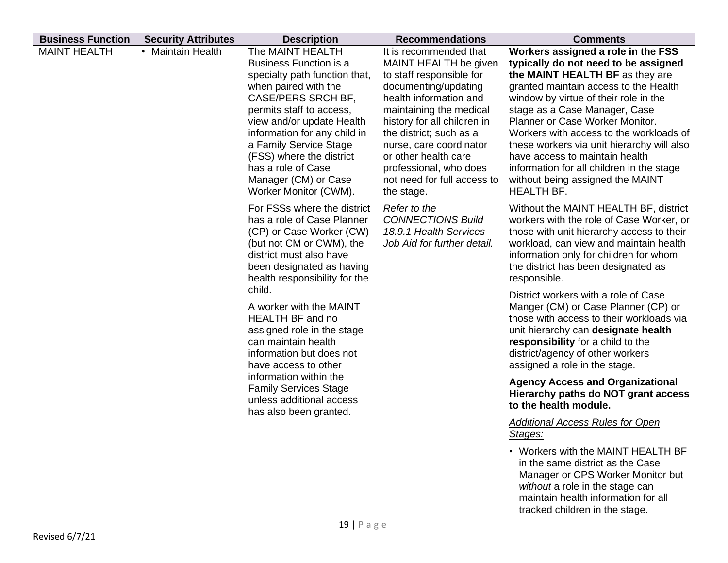| <b>Business Function</b> | <b>Security Attributes</b> | <b>Description</b>                                                                                                                                                                                                                                                                                                                                                                                            | <b>Recommendations</b>                                                                                                                                                                                                                                                                                                                       | <b>Comments</b>                                                                                                                                                                                                                                                                                                                                                                                                                                                                                                                                       |
|--------------------------|----------------------------|---------------------------------------------------------------------------------------------------------------------------------------------------------------------------------------------------------------------------------------------------------------------------------------------------------------------------------------------------------------------------------------------------------------|----------------------------------------------------------------------------------------------------------------------------------------------------------------------------------------------------------------------------------------------------------------------------------------------------------------------------------------------|-------------------------------------------------------------------------------------------------------------------------------------------------------------------------------------------------------------------------------------------------------------------------------------------------------------------------------------------------------------------------------------------------------------------------------------------------------------------------------------------------------------------------------------------------------|
| <b>MAINT HEALTH</b>      | • Maintain Health          | The MAINT HEALTH<br><b>Business Function is a</b><br>specialty path function that,<br>when paired with the<br>CASE/PERS SRCH BF,<br>permits staff to access,<br>view and/or update Health<br>information for any child in<br>a Family Service Stage<br>(FSS) where the district<br>has a role of Case<br>Manager (CM) or Case<br>Worker Monitor (CWM).                                                        | It is recommended that<br>MAINT HEALTH be given<br>to staff responsible for<br>documenting/updating<br>health information and<br>maintaining the medical<br>history for all children in<br>the district; such as a<br>nurse, care coordinator<br>or other health care<br>professional, who does<br>not need for full access to<br>the stage. | Workers assigned a role in the FSS<br>typically do not need to be assigned<br>the MAINT HEALTH BF as they are<br>granted maintain access to the Health<br>window by virtue of their role in the<br>stage as a Case Manager, Case<br>Planner or Case Worker Monitor.<br>Workers with access to the workloads of<br>these workers via unit hierarchy will also<br>have access to maintain health<br>information for all children in the stage<br>without being assigned the MAINT<br><b>HEALTH BF.</b>                                                  |
|                          |                            | For FSSs where the district<br>has a role of Case Planner<br>(CP) or Case Worker (CW)<br>(but not CM or CWM), the<br>district must also have<br>been designated as having<br>health responsibility for the<br>child.<br>A worker with the MAINT<br><b>HEALTH BF and no</b><br>assigned role in the stage<br>can maintain health<br>information but does not<br>have access to other<br>information within the | Refer to the<br><b>CONNECTIONS Build</b><br>18.9.1 Health Services<br>Job Aid for further detail.                                                                                                                                                                                                                                            | Without the MAINT HEALTH BF, district<br>workers with the role of Case Worker, or<br>those with unit hierarchy access to their<br>workload, can view and maintain health<br>information only for children for whom<br>the district has been designated as<br>responsible.<br>District workers with a role of Case<br>Manger (CM) or Case Planner (CP) or<br>those with access to their workloads via<br>unit hierarchy can designate health<br>responsibility for a child to the<br>district/agency of other workers<br>assigned a role in the stage. |
|                          |                            | <b>Family Services Stage</b><br>unless additional access<br>has also been granted.                                                                                                                                                                                                                                                                                                                            |                                                                                                                                                                                                                                                                                                                                              | <b>Agency Access and Organizational</b><br>Hierarchy paths do NOT grant access<br>to the health module.<br><b>Additional Access Rules for Open</b>                                                                                                                                                                                                                                                                                                                                                                                                    |
|                          |                            |                                                                                                                                                                                                                                                                                                                                                                                                               |                                                                                                                                                                                                                                                                                                                                              | Stages:<br>• Workers with the MAINT HEALTH BF<br>in the same district as the Case<br>Manager or CPS Worker Monitor but<br>without a role in the stage can<br>maintain health information for all<br>tracked children in the stage.                                                                                                                                                                                                                                                                                                                    |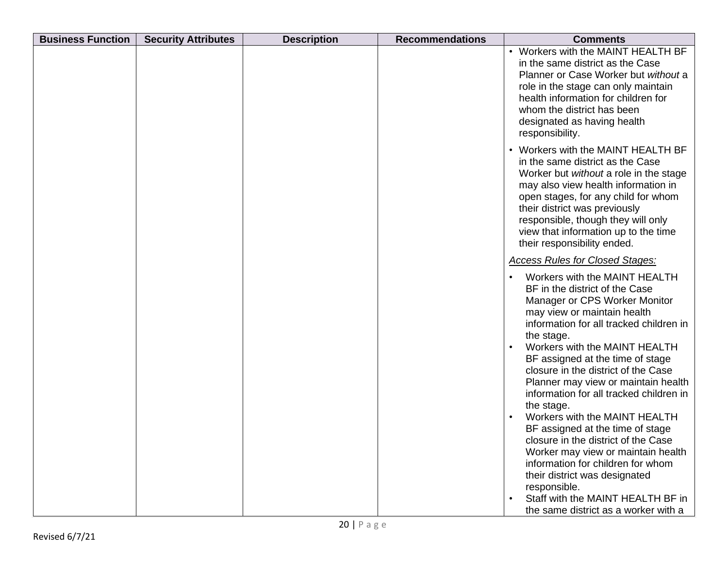| <b>Business Function</b> | <b>Security Attributes</b> | <b>Description</b> | <b>Recommendations</b> | <b>Comments</b>                                                                                                                                                                                                                                                                                                                              |
|--------------------------|----------------------------|--------------------|------------------------|----------------------------------------------------------------------------------------------------------------------------------------------------------------------------------------------------------------------------------------------------------------------------------------------------------------------------------------------|
|                          |                            |                    |                        | • Workers with the MAINT HEALTH BF<br>in the same district as the Case<br>Planner or Case Worker but without a<br>role in the stage can only maintain<br>health information for children for<br>whom the district has been<br>designated as having health<br>responsibility.                                                                 |
|                          |                            |                    |                        | • Workers with the MAINT HEALTH BF<br>in the same district as the Case<br>Worker but without a role in the stage<br>may also view health information in<br>open stages, for any child for whom<br>their district was previously<br>responsible, though they will only<br>view that information up to the time<br>their responsibility ended. |
|                          |                            |                    |                        | <b>Access Rules for Closed Stages:</b>                                                                                                                                                                                                                                                                                                       |
|                          |                            |                    |                        | Workers with the MAINT HEALTH<br>BF in the district of the Case<br>Manager or CPS Worker Monitor<br>may view or maintain health<br>information for all tracked children in<br>the stage.                                                                                                                                                     |
|                          |                            |                    |                        | Workers with the MAINT HEALTH<br>BF assigned at the time of stage<br>closure in the district of the Case<br>Planner may view or maintain health<br>information for all tracked children in<br>the stage.                                                                                                                                     |
|                          |                            |                    |                        | Workers with the MAINT HEALTH<br>BF assigned at the time of stage<br>closure in the district of the Case<br>Worker may view or maintain health<br>information for children for whom<br>their district was designated<br>responsible.                                                                                                         |
|                          |                            |                    |                        | Staff with the MAINT HEALTH BF in<br>the same district as a worker with a                                                                                                                                                                                                                                                                    |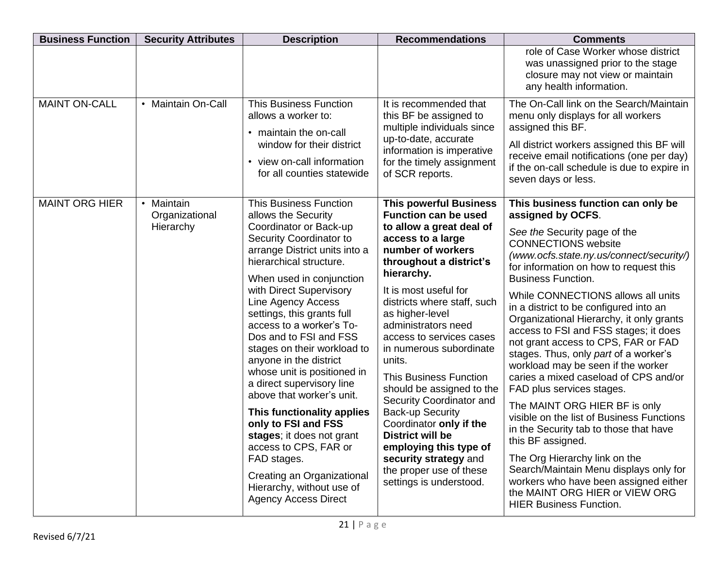| <b>Business Function</b> | <b>Security Attributes</b>                | <b>Description</b>                                                                                                                                                                                                                                                                                                                                                                                                                                                                                                                                                                                                                                                                                           | <b>Recommendations</b>                                                                                                                                                                                                                                                                                                                                                                                                                                                                                                                                                                                                             | <b>Comments</b>                                                                                                                                                                                                                                                                                                                                                                                                                                                                                                                                                                                                                                                                                                                                                                                                                                                                                                                                |
|--------------------------|-------------------------------------------|--------------------------------------------------------------------------------------------------------------------------------------------------------------------------------------------------------------------------------------------------------------------------------------------------------------------------------------------------------------------------------------------------------------------------------------------------------------------------------------------------------------------------------------------------------------------------------------------------------------------------------------------------------------------------------------------------------------|------------------------------------------------------------------------------------------------------------------------------------------------------------------------------------------------------------------------------------------------------------------------------------------------------------------------------------------------------------------------------------------------------------------------------------------------------------------------------------------------------------------------------------------------------------------------------------------------------------------------------------|------------------------------------------------------------------------------------------------------------------------------------------------------------------------------------------------------------------------------------------------------------------------------------------------------------------------------------------------------------------------------------------------------------------------------------------------------------------------------------------------------------------------------------------------------------------------------------------------------------------------------------------------------------------------------------------------------------------------------------------------------------------------------------------------------------------------------------------------------------------------------------------------------------------------------------------------|
|                          |                                           |                                                                                                                                                                                                                                                                                                                                                                                                                                                                                                                                                                                                                                                                                                              |                                                                                                                                                                                                                                                                                                                                                                                                                                                                                                                                                                                                                                    | role of Case Worker whose district<br>was unassigned prior to the stage<br>closure may not view or maintain<br>any health information.                                                                                                                                                                                                                                                                                                                                                                                                                                                                                                                                                                                                                                                                                                                                                                                                         |
| <b>MAINT ON-CALL</b>     | • Maintain On-Call                        | <b>This Business Function</b><br>allows a worker to:<br>• maintain the on-call<br>window for their district<br>• view on-call information<br>for all counties statewide                                                                                                                                                                                                                                                                                                                                                                                                                                                                                                                                      | It is recommended that<br>this BF be assigned to<br>multiple individuals since<br>up-to-date, accurate<br>information is imperative<br>for the timely assignment<br>of SCR reports.                                                                                                                                                                                                                                                                                                                                                                                                                                                | The On-Call link on the Search/Maintain<br>menu only displays for all workers<br>assigned this BF.<br>All district workers assigned this BF will<br>receive email notifications (one per day)<br>if the on-call schedule is due to expire in<br>seven days or less.                                                                                                                                                                                                                                                                                                                                                                                                                                                                                                                                                                                                                                                                            |
| <b>MAINT ORG HIER</b>    | • Maintain<br>Organizational<br>Hierarchy | <b>This Business Function</b><br>allows the Security<br>Coordinator or Back-up<br>Security Coordinator to<br>arrange District units into a<br>hierarchical structure.<br>When used in conjunction<br>with Direct Supervisory<br>Line Agency Access<br>settings, this grants full<br>access to a worker's To-<br>Dos and to FSI and FSS<br>stages on their workload to<br>anyone in the district<br>whose unit is positioned in<br>a direct supervisory line<br>above that worker's unit.<br>This functionality applies<br>only to FSI and FSS<br>stages; it does not grant<br>access to CPS, FAR or<br>FAD stages.<br>Creating an Organizational<br>Hierarchy, without use of<br><b>Agency Access Direct</b> | <b>This powerful Business</b><br><b>Function can be used</b><br>to allow a great deal of<br>access to a large<br>number of workers<br>throughout a district's<br>hierarchy.<br>It is most useful for<br>districts where staff, such<br>as higher-level<br>administrators need<br>access to services cases<br>in numerous subordinate<br>units.<br><b>This Business Function</b><br>should be assigned to the<br>Security Coordinator and<br><b>Back-up Security</b><br>Coordinator only if the<br><b>District will be</b><br>employing this type of<br>security strategy and<br>the proper use of these<br>settings is understood. | This business function can only be<br>assigned by OCFS.<br>See the Security page of the<br><b>CONNECTIONS</b> website<br>(www.ocfs.state.ny.us/connect/security/)<br>for information on how to request this<br><b>Business Function.</b><br>While CONNECTIONS allows all units<br>in a district to be configured into an<br>Organizational Hierarchy, it only grants<br>access to FSI and FSS stages; it does<br>not grant access to CPS, FAR or FAD<br>stages. Thus, only part of a worker's<br>workload may be seen if the worker<br>caries a mixed caseload of CPS and/or<br>FAD plus services stages.<br>The MAINT ORG HIER BF is only<br>visible on the list of Business Functions<br>in the Security tab to those that have<br>this BF assigned.<br>The Org Hierarchy link on the<br>Search/Maintain Menu displays only for<br>workers who have been assigned either<br>the MAINT ORG HIER or VIEW ORG<br><b>HIER Business Function.</b> |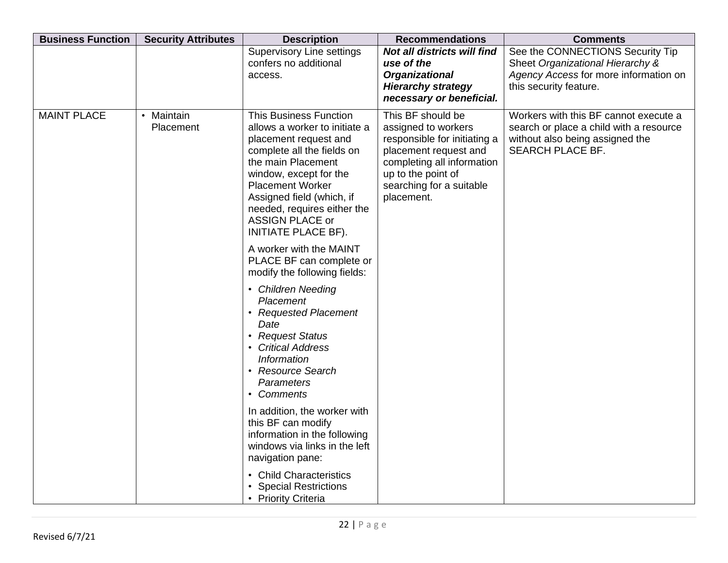| <b>Business Function</b> | <b>Security Attributes</b> | <b>Description</b>                                                                                                                                                                                                                                                                                                                                                                                                                                                                                                                                                                                                                                                                                                                             | <b>Recommendations</b>                                                                                                                                                                          | <b>Comments</b>                                                                                                                         |
|--------------------------|----------------------------|------------------------------------------------------------------------------------------------------------------------------------------------------------------------------------------------------------------------------------------------------------------------------------------------------------------------------------------------------------------------------------------------------------------------------------------------------------------------------------------------------------------------------------------------------------------------------------------------------------------------------------------------------------------------------------------------------------------------------------------------|-------------------------------------------------------------------------------------------------------------------------------------------------------------------------------------------------|-----------------------------------------------------------------------------------------------------------------------------------------|
|                          |                            | <b>Supervisory Line settings</b><br>confers no additional<br>access.                                                                                                                                                                                                                                                                                                                                                                                                                                                                                                                                                                                                                                                                           | Not all districts will find<br>use of the<br><b>Organizational</b><br><b>Hierarchy strategy</b><br>necessary or beneficial.                                                                     | See the CONNECTIONS Security Tip<br>Sheet Organizational Hierarchy &<br>Agency Access for more information on<br>this security feature. |
| <b>MAINT PLACE</b>       | • Maintain<br>Placement    | <b>This Business Function</b><br>allows a worker to initiate a<br>placement request and<br>complete all the fields on<br>the main Placement<br>window, except for the<br><b>Placement Worker</b><br>Assigned field (which, if<br>needed, requires either the<br><b>ASSIGN PLACE or</b><br>INITIATE PLACE BF).<br>A worker with the MAINT<br>PLACE BF can complete or<br>modify the following fields:<br>• Children Needing<br>Placement<br>• Requested Placement<br>Date<br>• Request Status<br><b>Critical Address</b><br><b>Information</b><br><b>Resource Search</b><br>Parameters<br>• Comments<br>In addition, the worker with<br>this BF can modify<br>information in the following<br>windows via links in the left<br>navigation pane: | This BF should be<br>assigned to workers<br>responsible for initiating a<br>placement request and<br>completing all information<br>up to the point of<br>searching for a suitable<br>placement. | Workers with this BF cannot execute a<br>search or place a child with a resource<br>without also being assigned the<br>SEARCH PLACE BF. |
|                          |                            | <b>Child Characteristics</b><br><b>Special Restrictions</b><br>• Priority Criteria                                                                                                                                                                                                                                                                                                                                                                                                                                                                                                                                                                                                                                                             |                                                                                                                                                                                                 |                                                                                                                                         |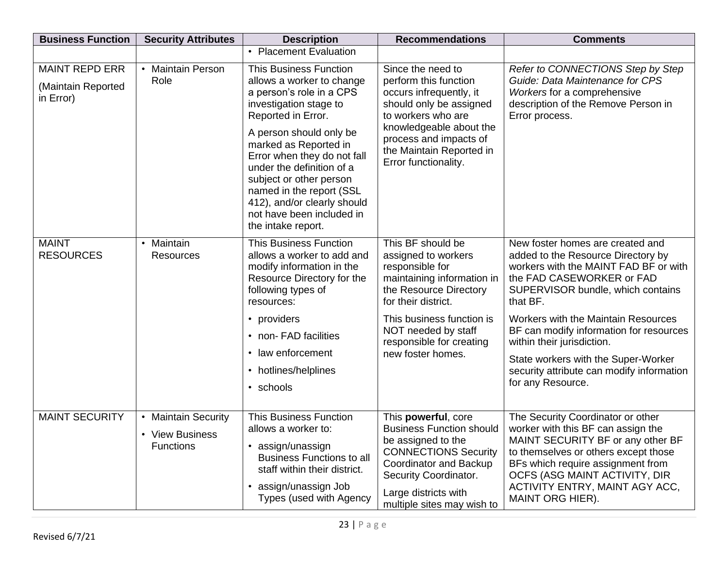| <b>Business Function</b>                                 | <b>Security Attributes</b>                                 | <b>Description</b>                                                                                                                                                                                                                                                                                                                                                                              | <b>Recommendations</b>                                                                                                                                                                                                                          | <b>Comments</b>                                                                                                                                                                                                                                                                                                                                                                                                               |
|----------------------------------------------------------|------------------------------------------------------------|-------------------------------------------------------------------------------------------------------------------------------------------------------------------------------------------------------------------------------------------------------------------------------------------------------------------------------------------------------------------------------------------------|-------------------------------------------------------------------------------------------------------------------------------------------------------------------------------------------------------------------------------------------------|-------------------------------------------------------------------------------------------------------------------------------------------------------------------------------------------------------------------------------------------------------------------------------------------------------------------------------------------------------------------------------------------------------------------------------|
|                                                          |                                                            | • Placement Evaluation                                                                                                                                                                                                                                                                                                                                                                          |                                                                                                                                                                                                                                                 |                                                                                                                                                                                                                                                                                                                                                                                                                               |
| <b>MAINT REPD ERR</b><br>(Maintain Reported<br>in Error) | <b>Maintain Person</b><br>$\bullet$<br>Role                | <b>This Business Function</b><br>allows a worker to change<br>a person's role in a CPS<br>investigation stage to<br>Reported in Error.<br>A person should only be<br>marked as Reported in<br>Error when they do not fall<br>under the definition of a<br>subject or other person<br>named in the report (SSL<br>412), and/or clearly should<br>not have been included in<br>the intake report. | Since the need to<br>perform this function<br>occurs infrequently, it<br>should only be assigned<br>to workers who are<br>knowledgeable about the<br>process and impacts of<br>the Maintain Reported in<br>Error functionality.                 | Refer to CONNECTIONS Step by Step<br>Guide: Data Maintenance for CPS<br>Workers for a comprehensive<br>description of the Remove Person in<br>Error process.                                                                                                                                                                                                                                                                  |
| <b>MAINT</b><br><b>RESOURCES</b>                         | Maintain<br>$\bullet$<br><b>Resources</b>                  | <b>This Business Function</b><br>allows a worker to add and<br>modify information in the<br>Resource Directory for the<br>following types of<br>resources:<br>• providers<br>• non-FAD facilities<br>• law enforcement<br>• hotlines/helplines<br>• schools                                                                                                                                     | This BF should be<br>assigned to workers<br>responsible for<br>maintaining information in<br>the Resource Directory<br>for their district.<br>This business function is<br>NOT needed by staff<br>responsible for creating<br>new foster homes. | New foster homes are created and<br>added to the Resource Directory by<br>workers with the MAINT FAD BF or with<br>the FAD CASEWORKER or FAD<br>SUPERVISOR bundle, which contains<br>that BF.<br><b>Workers with the Maintain Resources</b><br>BF can modify information for resources<br>within their jurisdiction.<br>State workers with the Super-Worker<br>security attribute can modify information<br>for any Resource. |
| <b>MAINT SECURITY</b>                                    | • Maintain Security<br>• View Business<br><b>Functions</b> | <b>This Business Function</b><br>allows a worker to:<br>• assign/unassign<br><b>Business Functions to all</b><br>staff within their district.<br>• assign/unassign Job<br>Types (used with Agency                                                                                                                                                                                               | This powerful, core<br><b>Business Function should</b><br>be assigned to the<br><b>CONNECTIONS Security</b><br>Coordinator and Backup<br>Security Coordinator.<br>Large districts with<br>multiple sites may wish to                            | The Security Coordinator or other<br>worker with this BF can assign the<br>MAINT SECURITY BF or any other BF<br>to themselves or others except those<br>BFs which require assignment from<br>OCFS (ASG MAINT ACTIVITY, DIR<br>ACTIVITY ENTRY, MAINT AGY ACC,<br>MAINT ORG HIER).                                                                                                                                              |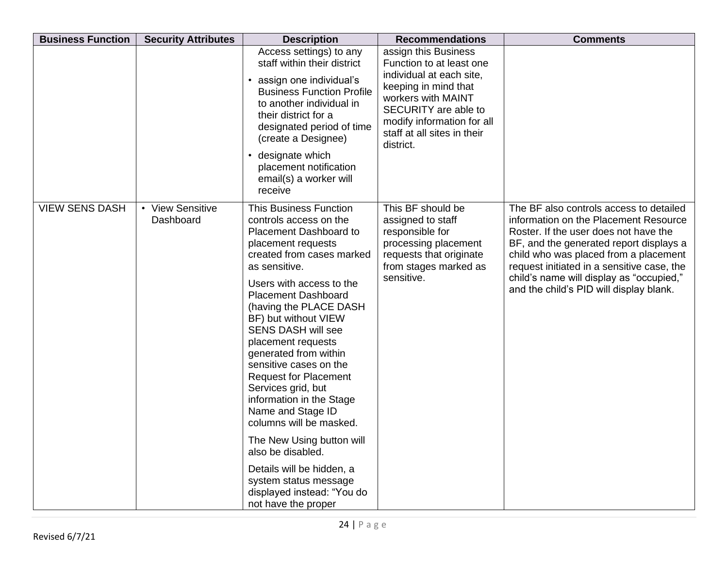| <b>Business Function</b> | <b>Security Attributes</b>    | <b>Description</b>                                                                                                                                                                                                                                                                                                                                                                                                                                                                                                                                                                                                                                                            | <b>Recommendations</b>                                                                                                                                                                                                       | <b>Comments</b>                                                                                                                                                                                                                                                                                                                                    |
|--------------------------|-------------------------------|-------------------------------------------------------------------------------------------------------------------------------------------------------------------------------------------------------------------------------------------------------------------------------------------------------------------------------------------------------------------------------------------------------------------------------------------------------------------------------------------------------------------------------------------------------------------------------------------------------------------------------------------------------------------------------|------------------------------------------------------------------------------------------------------------------------------------------------------------------------------------------------------------------------------|----------------------------------------------------------------------------------------------------------------------------------------------------------------------------------------------------------------------------------------------------------------------------------------------------------------------------------------------------|
|                          |                               | Access settings) to any<br>staff within their district<br>assign one individual's<br><b>Business Function Profile</b><br>to another individual in<br>their district for a<br>designated period of time<br>(create a Designee)<br>designate which<br>$\bullet$<br>placement notification<br>email(s) a worker will<br>receive                                                                                                                                                                                                                                                                                                                                                  | assign this Business<br>Function to at least one<br>individual at each site,<br>keeping in mind that<br>workers with MAINT<br>SECURITY are able to<br>modify information for all<br>staff at all sites in their<br>district. |                                                                                                                                                                                                                                                                                                                                                    |
| <b>VIEW SENS DASH</b>    | • View Sensitive<br>Dashboard | <b>This Business Function</b><br>controls access on the<br><b>Placement Dashboard to</b><br>placement requests<br>created from cases marked<br>as sensitive.<br>Users with access to the<br><b>Placement Dashboard</b><br>(having the PLACE DASH<br>BF) but without VIEW<br><b>SENS DASH will see</b><br>placement requests<br>generated from within<br>sensitive cases on the<br><b>Request for Placement</b><br>Services grid, but<br>information in the Stage<br>Name and Stage ID<br>columns will be masked.<br>The New Using button will<br>also be disabled.<br>Details will be hidden, a<br>system status message<br>displayed instead: "You do<br>not have the proper | This BF should be<br>assigned to staff<br>responsible for<br>processing placement<br>requests that originate<br>from stages marked as<br>sensitive.                                                                          | The BF also controls access to detailed<br>information on the Placement Resource<br>Roster. If the user does not have the<br>BF, and the generated report displays a<br>child who was placed from a placement<br>request initiated in a sensitive case, the<br>child's name will display as "occupied,"<br>and the child's PID will display blank. |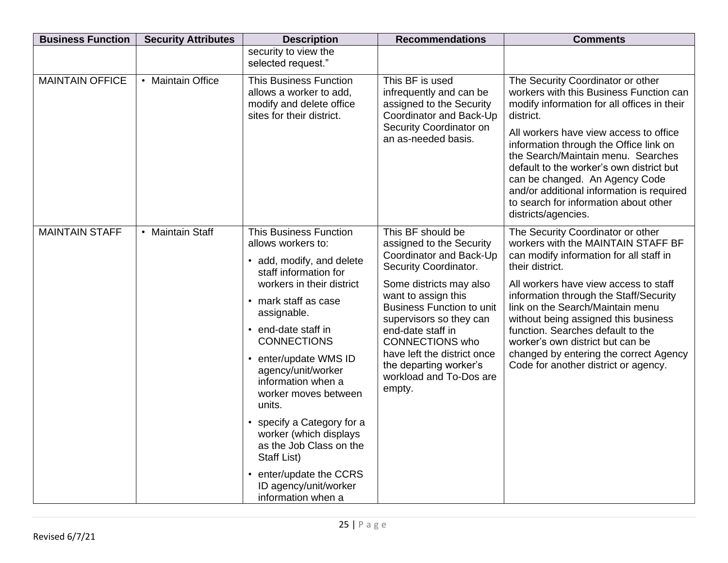| <b>Business Function</b> | <b>Security Attributes</b> | <b>Description</b>                                                                                                                                                                                                                                                                                                                                                                                                                                                                                        | <b>Recommendations</b>                                                                                                                                                                                                                                                                                                                                          | <b>Comments</b>                                                                                                                                                                                                                                                                                                                                                                                                                                                 |
|--------------------------|----------------------------|-----------------------------------------------------------------------------------------------------------------------------------------------------------------------------------------------------------------------------------------------------------------------------------------------------------------------------------------------------------------------------------------------------------------------------------------------------------------------------------------------------------|-----------------------------------------------------------------------------------------------------------------------------------------------------------------------------------------------------------------------------------------------------------------------------------------------------------------------------------------------------------------|-----------------------------------------------------------------------------------------------------------------------------------------------------------------------------------------------------------------------------------------------------------------------------------------------------------------------------------------------------------------------------------------------------------------------------------------------------------------|
|                          |                            | security to view the<br>selected request."                                                                                                                                                                                                                                                                                                                                                                                                                                                                |                                                                                                                                                                                                                                                                                                                                                                 |                                                                                                                                                                                                                                                                                                                                                                                                                                                                 |
| <b>MAINTAIN OFFICE</b>   | • Maintain Office          | <b>This Business Function</b><br>allows a worker to add,<br>modify and delete office<br>sites for their district.                                                                                                                                                                                                                                                                                                                                                                                         | This BF is used<br>infrequently and can be<br>assigned to the Security<br>Coordinator and Back-Up<br>Security Coordinator on<br>an as-needed basis.                                                                                                                                                                                                             | The Security Coordinator or other<br>workers with this Business Function can<br>modify information for all offices in their<br>district.<br>All workers have view access to office<br>information through the Office link on<br>the Search/Maintain menu. Searches<br>default to the worker's own district but<br>can be changed. An Agency Code<br>and/or additional information is required<br>to search for information about other<br>districts/agencies.   |
| <b>MAINTAIN STAFF</b>    | • Maintain Staff           | <b>This Business Function</b><br>allows workers to:<br>• add, modify, and delete<br>staff information for<br>workers in their district<br>• mark staff as case<br>assignable.<br>• end-date staff in<br><b>CONNECTIONS</b><br>enter/update WMS ID<br>agency/unit/worker<br>information when a<br>worker moves between<br>units.<br>specify a Category for a<br>worker (which displays<br>as the Job Class on the<br>Staff List)<br>• enter/update the CCRS<br>ID agency/unit/worker<br>information when a | This BF should be<br>assigned to the Security<br>Coordinator and Back-Up<br>Security Coordinator.<br>Some districts may also<br>want to assign this<br><b>Business Function to unit</b><br>supervisors so they can<br>end-date staff in<br><b>CONNECTIONS who</b><br>have left the district once<br>the departing worker's<br>workload and To-Dos are<br>empty. | The Security Coordinator or other<br>workers with the MAINTAIN STAFF BF<br>can modify information for all staff in<br>their district.<br>All workers have view access to staff<br>information through the Staff/Security<br>link on the Search/Maintain menu<br>without being assigned this business<br>function. Searches default to the<br>worker's own district but can be<br>changed by entering the correct Agency<br>Code for another district or agency. |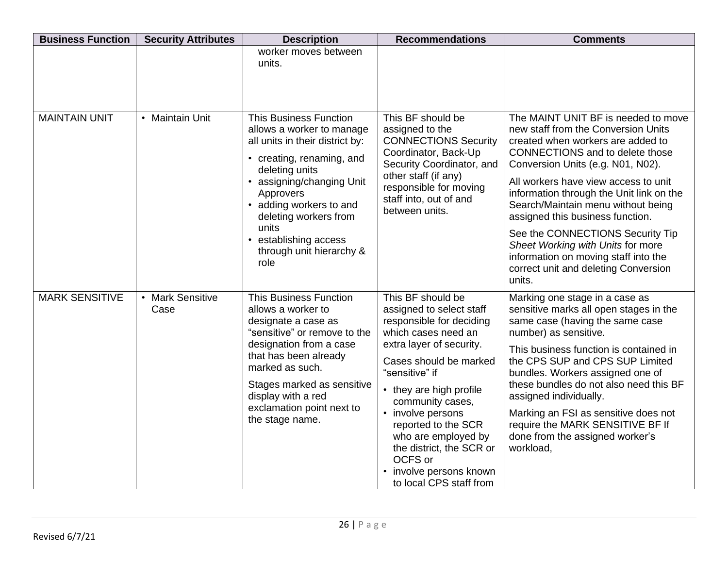| <b>Business Function</b> | <b>Security Attributes</b>        | <b>Description</b>                                                                                                                                                                                                                                                                                             | <b>Recommendations</b>                                                                                                                                                                                                                                                                                                                                                                  | <b>Comments</b>                                                                                                                                                                                                                                                                                                                                                                                                                                                                                                                 |
|--------------------------|-----------------------------------|----------------------------------------------------------------------------------------------------------------------------------------------------------------------------------------------------------------------------------------------------------------------------------------------------------------|-----------------------------------------------------------------------------------------------------------------------------------------------------------------------------------------------------------------------------------------------------------------------------------------------------------------------------------------------------------------------------------------|---------------------------------------------------------------------------------------------------------------------------------------------------------------------------------------------------------------------------------------------------------------------------------------------------------------------------------------------------------------------------------------------------------------------------------------------------------------------------------------------------------------------------------|
|                          |                                   | worker moves between<br>units.                                                                                                                                                                                                                                                                                 |                                                                                                                                                                                                                                                                                                                                                                                         |                                                                                                                                                                                                                                                                                                                                                                                                                                                                                                                                 |
| <b>MAINTAIN UNIT</b>     | <b>Maintain Unit</b><br>$\bullet$ | <b>This Business Function</b><br>allows a worker to manage<br>all units in their district by:<br>• creating, renaming, and<br>deleting units<br>• assigning/changing Unit<br>Approvers<br>• adding workers to and<br>deleting workers from<br>units<br>establishing access<br>through unit hierarchy &<br>role | This BF should be<br>assigned to the<br><b>CONNECTIONS Security</b><br>Coordinator, Back-Up<br>Security Coordinator, and<br>other staff (if any)<br>responsible for moving<br>staff into, out of and<br>between units.                                                                                                                                                                  | The MAINT UNIT BF is needed to move<br>new staff from the Conversion Units<br>created when workers are added to<br><b>CONNECTIONS</b> and to delete those<br>Conversion Units (e.g. N01, N02).<br>All workers have view access to unit<br>information through the Unit link on the<br>Search/Maintain menu without being<br>assigned this business function.<br>See the CONNECTIONS Security Tip<br>Sheet Working with Units for more<br>information on moving staff into the<br>correct unit and deleting Conversion<br>units. |
| <b>MARK SENSITIVE</b>    | • Mark Sensitive<br>Case          | <b>This Business Function</b><br>allows a worker to<br>designate a case as<br>"sensitive" or remove to the<br>designation from a case<br>that has been already<br>marked as such.<br>Stages marked as sensitive<br>display with a red<br>exclamation point next to<br>the stage name.                          | This BF should be<br>assigned to select staff<br>responsible for deciding<br>which cases need an<br>extra layer of security.<br>Cases should be marked<br>"sensitive" if<br>• they are high profile<br>community cases,<br>• involve persons<br>reported to the SCR<br>who are employed by<br>the district, the SCR or<br>OCFS or<br>• involve persons known<br>to local CPS staff from | Marking one stage in a case as<br>sensitive marks all open stages in the<br>same case (having the same case<br>number) as sensitive.<br>This business function is contained in<br>the CPS SUP and CPS SUP Limited<br>bundles. Workers assigned one of<br>these bundles do not also need this BF<br>assigned individually.<br>Marking an FSI as sensitive does not<br>require the MARK SENSITIVE BF If<br>done from the assigned worker's<br>workload,                                                                           |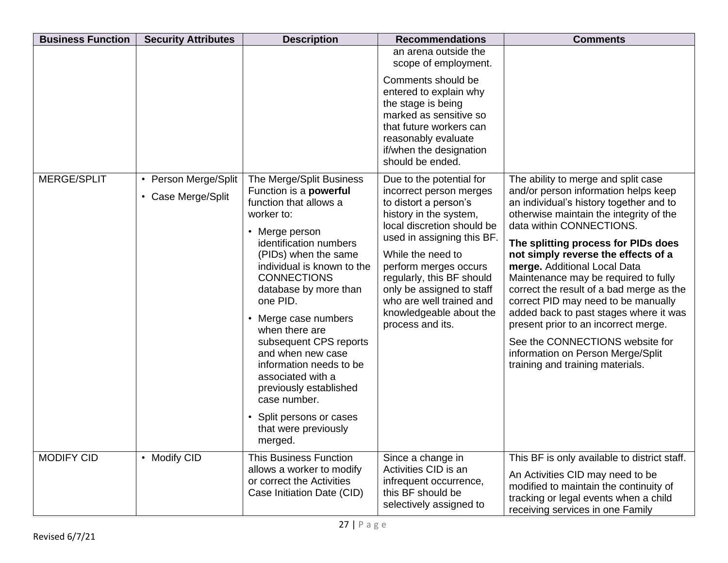| <b>Business Function</b> | <b>Security Attributes</b>                 | <b>Description</b>                                                                                                                                                                                                                                                                                                                                                                                                                                                                                                    | <b>Recommendations</b>                                                                                                                                                                                                                                                                                                                                | <b>Comments</b>                                                                                                                                                                                                                                                                                                                                                                                                                                                                                                                                                                                                                      |
|--------------------------|--------------------------------------------|-----------------------------------------------------------------------------------------------------------------------------------------------------------------------------------------------------------------------------------------------------------------------------------------------------------------------------------------------------------------------------------------------------------------------------------------------------------------------------------------------------------------------|-------------------------------------------------------------------------------------------------------------------------------------------------------------------------------------------------------------------------------------------------------------------------------------------------------------------------------------------------------|--------------------------------------------------------------------------------------------------------------------------------------------------------------------------------------------------------------------------------------------------------------------------------------------------------------------------------------------------------------------------------------------------------------------------------------------------------------------------------------------------------------------------------------------------------------------------------------------------------------------------------------|
|                          |                                            |                                                                                                                                                                                                                                                                                                                                                                                                                                                                                                                       | an arena outside the<br>scope of employment.<br>Comments should be                                                                                                                                                                                                                                                                                    |                                                                                                                                                                                                                                                                                                                                                                                                                                                                                                                                                                                                                                      |
|                          |                                            |                                                                                                                                                                                                                                                                                                                                                                                                                                                                                                                       | entered to explain why<br>the stage is being<br>marked as sensitive so<br>that future workers can<br>reasonably evaluate<br>if/when the designation<br>should be ended.                                                                                                                                                                               |                                                                                                                                                                                                                                                                                                                                                                                                                                                                                                                                                                                                                                      |
| MERGE/SPLIT              | • Person Merge/Split<br>• Case Merge/Split | The Merge/Split Business<br>Function is a powerful<br>function that allows a<br>worker to:<br>Merge person<br>identification numbers<br>(PIDs) when the same<br>individual is known to the<br><b>CONNECTIONS</b><br>database by more than<br>one PID.<br>Merge case numbers<br>٠<br>when there are<br>subsequent CPS reports<br>and when new case<br>information needs to be<br>associated with a<br>previously established<br>case number.<br>Split persons or cases<br>$\bullet$<br>that were previously<br>merged. | Due to the potential for<br>incorrect person merges<br>to distort a person's<br>history in the system,<br>local discretion should be<br>used in assigning this BF.<br>While the need to<br>perform merges occurs<br>regularly, this BF should<br>only be assigned to staff<br>who are well trained and<br>knowledgeable about the<br>process and its. | The ability to merge and split case<br>and/or person information helps keep<br>an individual's history together and to<br>otherwise maintain the integrity of the<br>data within CONNECTIONS.<br>The splitting process for PIDs does<br>not simply reverse the effects of a<br>merge. Additional Local Data<br>Maintenance may be required to fully<br>correct the result of a bad merge as the<br>correct PID may need to be manually<br>added back to past stages where it was<br>present prior to an incorrect merge.<br>See the CONNECTIONS website for<br>information on Person Merge/Split<br>training and training materials. |
| <b>MODIFY CID</b>        | • Modify CID                               | <b>This Business Function</b><br>allows a worker to modify<br>or correct the Activities<br>Case Initiation Date (CID)                                                                                                                                                                                                                                                                                                                                                                                                 | Since a change in<br>Activities CID is an<br>infrequent occurrence,<br>this BF should be<br>selectively assigned to                                                                                                                                                                                                                                   | This BF is only available to district staff.<br>An Activities CID may need to be<br>modified to maintain the continuity of<br>tracking or legal events when a child<br>receiving services in one Family                                                                                                                                                                                                                                                                                                                                                                                                                              |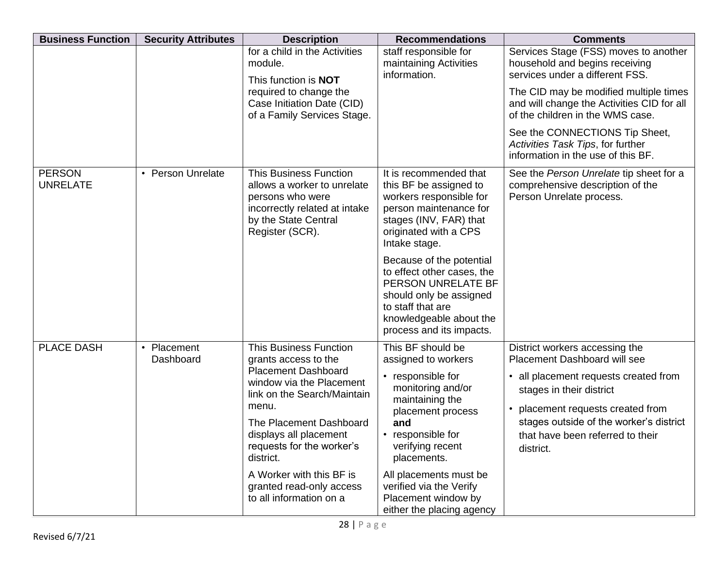| <b>Business Function</b>         | <b>Security Attributes</b>                                                                     | <b>Description</b>                                                                                                                                           | <b>Recommendations</b>                                                                                                                                                              | <b>Comments</b>                                                                                                          |
|----------------------------------|------------------------------------------------------------------------------------------------|--------------------------------------------------------------------------------------------------------------------------------------------------------------|-------------------------------------------------------------------------------------------------------------------------------------------------------------------------------------|--------------------------------------------------------------------------------------------------------------------------|
|                                  |                                                                                                | for a child in the Activities<br>module.<br>This function is <b>NOT</b>                                                                                      | staff responsible for<br>maintaining Activities<br>information.                                                                                                                     | Services Stage (FSS) moves to another<br>household and begins receiving<br>services under a different FSS.               |
|                                  |                                                                                                | required to change the<br>Case Initiation Date (CID)<br>of a Family Services Stage.                                                                          |                                                                                                                                                                                     | The CID may be modified multiple times<br>and will change the Activities CID for all<br>of the children in the WMS case. |
|                                  |                                                                                                |                                                                                                                                                              |                                                                                                                                                                                     | See the CONNECTIONS Tip Sheet,<br>Activities Task Tips, for further<br>information in the use of this BF.                |
| <b>PERSON</b><br><b>UNRELATE</b> | • Person Unrelate                                                                              | <b>This Business Function</b><br>allows a worker to unrelate<br>persons who were<br>incorrectly related at intake<br>by the State Central<br>Register (SCR). | It is recommended that<br>this BF be assigned to<br>workers responsible for<br>person maintenance for<br>stages (INV, FAR) that<br>originated with a CPS<br>Intake stage.           | See the Person Unrelate tip sheet for a<br>comprehensive description of the<br>Person Unrelate process.                  |
|                                  |                                                                                                |                                                                                                                                                              | Because of the potential<br>to effect other cases, the<br>PERSON UNRELATE BF<br>should only be assigned<br>to staff that are<br>knowledgeable about the<br>process and its impacts. |                                                                                                                          |
| <b>PLACE DASH</b>                | Placement<br>$\bullet$<br>Dashboard                                                            | <b>This Business Function</b><br>grants access to the                                                                                                        | This BF should be<br>assigned to workers                                                                                                                                            | District workers accessing the<br><b>Placement Dashboard will see</b>                                                    |
|                                  | <b>Placement Dashboard</b><br>window via the Placement<br>link on the Search/Maintain<br>menu. | • responsible for<br>monitoring and/or<br>maintaining the<br>placement process                                                                               | • all placement requests created from<br>stages in their district<br>• placement requests created from                                                                              |                                                                                                                          |
|                                  |                                                                                                | The Placement Dashboard<br>displays all placement<br>requests for the worker's<br>district.                                                                  | and<br>• responsible for<br>verifying recent<br>placements.                                                                                                                         | stages outside of the worker's district<br>that have been referred to their<br>district.                                 |
|                                  |                                                                                                | A Worker with this BF is<br>granted read-only access<br>to all information on a                                                                              | All placements must be<br>verified via the Verify<br>Placement window by<br>either the placing agency                                                                               |                                                                                                                          |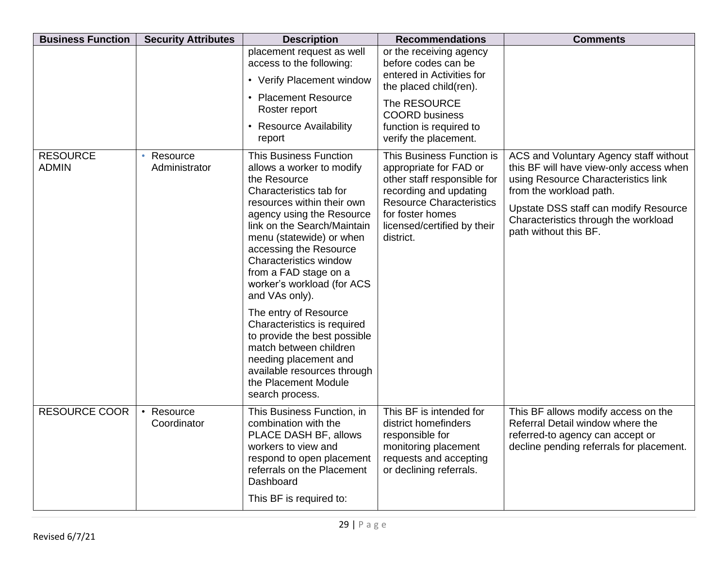| <b>Security Attributes</b>             | <b>Description</b>                                                                                                                                                                                                                                                                                                                                                                                                                                                                                                                 | <b>Recommendations</b>                                                                                                                                                                                          | <b>Comments</b>                                                                                                                                                                                                                                               |
|----------------------------------------|------------------------------------------------------------------------------------------------------------------------------------------------------------------------------------------------------------------------------------------------------------------------------------------------------------------------------------------------------------------------------------------------------------------------------------------------------------------------------------------------------------------------------------|-----------------------------------------------------------------------------------------------------------------------------------------------------------------------------------------------------------------|---------------------------------------------------------------------------------------------------------------------------------------------------------------------------------------------------------------------------------------------------------------|
|                                        | placement request as well<br>access to the following:<br>• Verify Placement window                                                                                                                                                                                                                                                                                                                                                                                                                                                 | or the receiving agency<br>before codes can be<br>entered in Activities for<br>the placed child(ren).                                                                                                           |                                                                                                                                                                                                                                                               |
|                                        | Roster report<br>• Resource Availability<br>report                                                                                                                                                                                                                                                                                                                                                                                                                                                                                 | The RESOURCE<br><b>COORD</b> business<br>function is required to<br>verify the placement.                                                                                                                       |                                                                                                                                                                                                                                                               |
| Resource<br>$\bullet$<br>Administrator | <b>This Business Function</b><br>allows a worker to modify<br>the Resource<br>Characteristics tab for<br>resources within their own<br>agency using the Resource<br>link on the Search/Maintain<br>menu (statewide) or when<br>accessing the Resource<br>Characteristics window<br>from a FAD stage on a<br>worker's workload (for ACS<br>and VAs only).<br>The entry of Resource<br>Characteristics is required<br>to provide the best possible<br>match between children<br>needing placement and<br>available resources through | This Business Function is<br>appropriate for FAD or<br>other staff responsible for<br>recording and updating<br><b>Resource Characteristics</b><br>for foster homes<br>licensed/certified by their<br>district. | ACS and Voluntary Agency staff without<br>this BF will have view-only access when<br>using Resource Characteristics link<br>from the workload path.<br>Upstate DSS staff can modify Resource<br>Characteristics through the workload<br>path without this BF. |
|                                        | search process.                                                                                                                                                                                                                                                                                                                                                                                                                                                                                                                    |                                                                                                                                                                                                                 |                                                                                                                                                                                                                                                               |
| $\bullet$<br>Coordinator               | combination with the<br>PLACE DASH BF, allows<br>workers to view and<br>respond to open placement<br>referrals on the Placement<br>Dashboard                                                                                                                                                                                                                                                                                                                                                                                       | district homefinders<br>responsible for<br>monitoring placement<br>requests and accepting<br>or declining referrals.                                                                                            | This BF allows modify access on the<br>Referral Detail window where the<br>referred-to agency can accept or<br>decline pending referrals for placement.                                                                                                       |
|                                        | Resource                                                                                                                                                                                                                                                                                                                                                                                                                                                                                                                           | • Placement Resource<br>the Placement Module<br>This Business Function, in<br>This BF is required to:                                                                                                           | This BF is intended for                                                                                                                                                                                                                                       |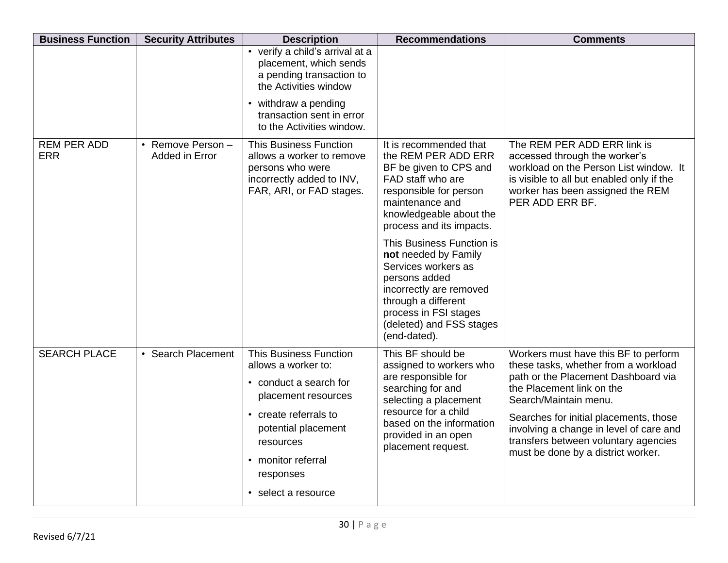| <b>Business Function</b>         | <b>Security Attributes</b>                    | <b>Description</b>                                                                                                                                                                                                           | <b>Recommendations</b>                                                                                                                                                                                             | <b>Comments</b>                                                                                                                                                                                                                                                                                                                              |
|----------------------------------|-----------------------------------------------|------------------------------------------------------------------------------------------------------------------------------------------------------------------------------------------------------------------------------|--------------------------------------------------------------------------------------------------------------------------------------------------------------------------------------------------------------------|----------------------------------------------------------------------------------------------------------------------------------------------------------------------------------------------------------------------------------------------------------------------------------------------------------------------------------------------|
|                                  |                                               | • verify a child's arrival at a<br>placement, which sends<br>a pending transaction to<br>the Activities window                                                                                                               |                                                                                                                                                                                                                    |                                                                                                                                                                                                                                                                                                                                              |
|                                  |                                               | • withdraw a pending<br>transaction sent in error<br>to the Activities window.                                                                                                                                               |                                                                                                                                                                                                                    |                                                                                                                                                                                                                                                                                                                                              |
| <b>REM PER ADD</b><br><b>ERR</b> | Remove Person-<br>$\bullet$<br>Added in Error | <b>This Business Function</b><br>allows a worker to remove<br>persons who were<br>incorrectly added to INV,<br>FAR, ARI, or FAD stages.                                                                                      | It is recommended that<br>the REM PER ADD ERR<br>BF be given to CPS and<br>FAD staff who are<br>responsible for person<br>maintenance and<br>knowledgeable about the<br>process and its impacts.                   | The REM PER ADD ERR link is<br>accessed through the worker's<br>workload on the Person List window. It<br>is visible to all but enabled only if the<br>worker has been assigned the REM<br>PER ADD ERR BF.                                                                                                                                   |
|                                  |                                               |                                                                                                                                                                                                                              | This Business Function is<br>not needed by Family<br>Services workers as<br>persons added<br>incorrectly are removed<br>through a different<br>process in FSI stages<br>(deleted) and FSS stages<br>(end-dated).   |                                                                                                                                                                                                                                                                                                                                              |
| <b>SEARCH PLACE</b>              | • Search Placement                            | <b>This Business Function</b><br>allows a worker to:<br>• conduct a search for<br>placement resources<br>• create referrals to<br>potential placement<br>resources<br>• monitor referral<br>responses<br>• select a resource | This BF should be<br>assigned to workers who<br>are responsible for<br>searching for and<br>selecting a placement<br>resource for a child<br>based on the information<br>provided in an open<br>placement request. | Workers must have this BF to perform<br>these tasks, whether from a workload<br>path or the Placement Dashboard via<br>the Placement link on the<br>Search/Maintain menu.<br>Searches for initial placements, those<br>involving a change in level of care and<br>transfers between voluntary agencies<br>must be done by a district worker. |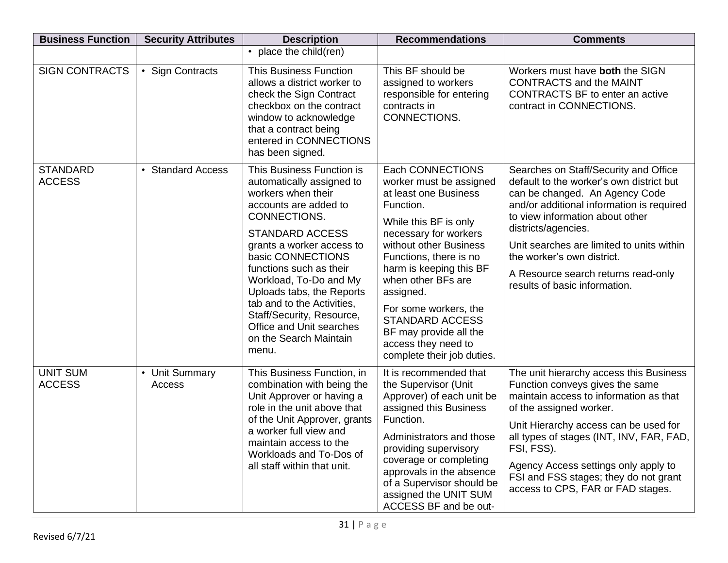| <b>Business Function</b>         | <b>Security Attributes</b> | <b>Description</b>                                                                                                                                                                                                                                                                                                                                                                                            | <b>Recommendations</b>                                                                                                                                                                                                                                                                                                                                                                  | <b>Comments</b>                                                                                                                                                                                                                                                                                                                                                               |
|----------------------------------|----------------------------|---------------------------------------------------------------------------------------------------------------------------------------------------------------------------------------------------------------------------------------------------------------------------------------------------------------------------------------------------------------------------------------------------------------|-----------------------------------------------------------------------------------------------------------------------------------------------------------------------------------------------------------------------------------------------------------------------------------------------------------------------------------------------------------------------------------------|-------------------------------------------------------------------------------------------------------------------------------------------------------------------------------------------------------------------------------------------------------------------------------------------------------------------------------------------------------------------------------|
|                                  |                            | • place the child(ren)                                                                                                                                                                                                                                                                                                                                                                                        |                                                                                                                                                                                                                                                                                                                                                                                         |                                                                                                                                                                                                                                                                                                                                                                               |
| <b>SIGN CONTRACTS</b>            | • Sign Contracts           | <b>This Business Function</b><br>allows a district worker to<br>check the Sign Contract<br>checkbox on the contract<br>window to acknowledge<br>that a contract being<br>entered in CONNECTIONS<br>has been signed.                                                                                                                                                                                           | This BF should be<br>assigned to workers<br>responsible for entering<br>contracts in<br>CONNECTIONS.                                                                                                                                                                                                                                                                                    | Workers must have both the SIGN<br><b>CONTRACTS and the MAINT</b><br><b>CONTRACTS BF to enter an active</b><br>contract in CONNECTIONS.                                                                                                                                                                                                                                       |
| <b>STANDARD</b><br><b>ACCESS</b> | <b>Standard Access</b>     | This Business Function is<br>automatically assigned to<br>workers when their<br>accounts are added to<br>CONNECTIONS.<br><b>STANDARD ACCESS</b><br>grants a worker access to<br>basic CONNECTIONS<br>functions such as their<br>Workload, To-Do and My<br>Uploads tabs, the Reports<br>tab and to the Activities,<br>Staff/Security, Resource,<br>Office and Unit searches<br>on the Search Maintain<br>menu. | Each CONNECTIONS<br>worker must be assigned<br>at least one Business<br>Function.<br>While this BF is only<br>necessary for workers<br>without other Business<br>Functions, there is no<br>harm is keeping this BF<br>when other BFs are<br>assigned.<br>For some workers, the<br><b>STANDARD ACCESS</b><br>BF may provide all the<br>access they need to<br>complete their job duties. | Searches on Staff/Security and Office<br>default to the worker's own district but<br>can be changed. An Agency Code<br>and/or additional information is required<br>to view information about other<br>districts/agencies.<br>Unit searches are limited to units within<br>the worker's own district.<br>A Resource search returns read-only<br>results of basic information. |
| <b>UNIT SUM</b><br><b>ACCESS</b> | • Unit Summary<br>Access   | This Business Function, in<br>combination with being the<br>Unit Approver or having a<br>role in the unit above that<br>of the Unit Approver, grants<br>a worker full view and<br>maintain access to the<br>Workloads and To-Dos of<br>all staff within that unit.                                                                                                                                            | It is recommended that<br>the Supervisor (Unit<br>Approver) of each unit be<br>assigned this Business<br>Function.<br>Administrators and those<br>providing supervisory<br>coverage or completing<br>approvals in the absence<br>of a Supervisor should be<br>assigned the UNIT SUM<br>ACCESS BF and be out-                                                                            | The unit hierarchy access this Business<br>Function conveys gives the same<br>maintain access to information as that<br>of the assigned worker.<br>Unit Hierarchy access can be used for<br>all types of stages (INT, INV, FAR, FAD,  <br>FSI, FSS).<br>Agency Access settings only apply to<br>FSI and FSS stages; they do not grant<br>access to CPS, FAR or FAD stages.    |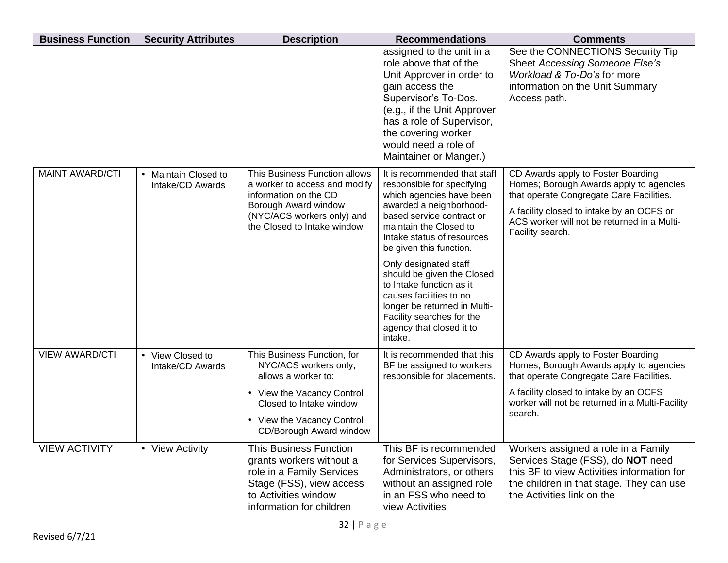| <b>Business Function</b> | <b>Security Attributes</b>                          | <b>Description</b>                                                                                                                                                                            | <b>Recommendations</b>                                                                                                                                                                                                                                                                                                                                                                                                                              | <b>Comments</b>                                                                                                                                                                                                                           |
|--------------------------|-----------------------------------------------------|-----------------------------------------------------------------------------------------------------------------------------------------------------------------------------------------------|-----------------------------------------------------------------------------------------------------------------------------------------------------------------------------------------------------------------------------------------------------------------------------------------------------------------------------------------------------------------------------------------------------------------------------------------------------|-------------------------------------------------------------------------------------------------------------------------------------------------------------------------------------------------------------------------------------------|
|                          |                                                     |                                                                                                                                                                                               | assigned to the unit in a<br>role above that of the<br>Unit Approver in order to<br>gain access the<br>Supervisor's To-Dos.<br>(e.g., if the Unit Approver<br>has a role of Supervisor,<br>the covering worker<br>would need a role of<br>Maintainer or Manger.)                                                                                                                                                                                    | See the CONNECTIONS Security Tip<br><b>Sheet Accessing Someone Else's</b><br>Workload & To-Do's for more<br>information on the Unit Summary<br>Access path.                                                                               |
| <b>MAINT AWARD/CTI</b>   | Maintain Closed to<br>$\bullet$<br>Intake/CD Awards | This Business Function allows<br>a worker to access and modify<br>information on the CD<br>Borough Award window<br>(NYC/ACS workers only) and<br>the Closed to Intake window                  | It is recommended that staff<br>responsible for specifying<br>which agencies have been<br>awarded a neighborhood-<br>based service contract or<br>maintain the Closed to<br>Intake status of resources<br>be given this function.<br>Only designated staff<br>should be given the Closed<br>to Intake function as it<br>causes facilities to no<br>longer be returned in Multi-<br>Facility searches for the<br>agency that closed it to<br>intake. | CD Awards apply to Foster Boarding<br>Homes; Borough Awards apply to agencies<br>that operate Congregate Care Facilities.<br>A facility closed to intake by an OCFS or<br>ACS worker will not be returned in a Multi-<br>Facility search. |
| <b>VIEW AWARD/CTI</b>    | • View Closed to<br>Intake/CD Awards                | This Business Function, for<br>NYC/ACS workers only,<br>allows a worker to:<br>• View the Vacancy Control<br>Closed to Intake window<br>• View the Vacancy Control<br>CD/Borough Award window | It is recommended that this<br>BF be assigned to workers<br>responsible for placements.                                                                                                                                                                                                                                                                                                                                                             | CD Awards apply to Foster Boarding<br>Homes; Borough Awards apply to agencies<br>that operate Congregate Care Facilities.<br>A facility closed to intake by an OCFS<br>worker will not be returned in a Multi-Facility<br>search.         |
| <b>VIEW ACTIVITY</b>     | • View Activity                                     | <b>This Business Function</b><br>grants workers without a<br>role in a Family Services<br>Stage (FSS), view access<br>to Activities window<br>information for children                        | This BF is recommended<br>for Services Supervisors,<br>Administrators, or others<br>without an assigned role<br>in an FSS who need to<br>view Activities                                                                                                                                                                                                                                                                                            | Workers assigned a role in a Family<br>Services Stage (FSS), do NOT need<br>this BF to view Activities information for<br>the children in that stage. They can use<br>the Activities link on the                                          |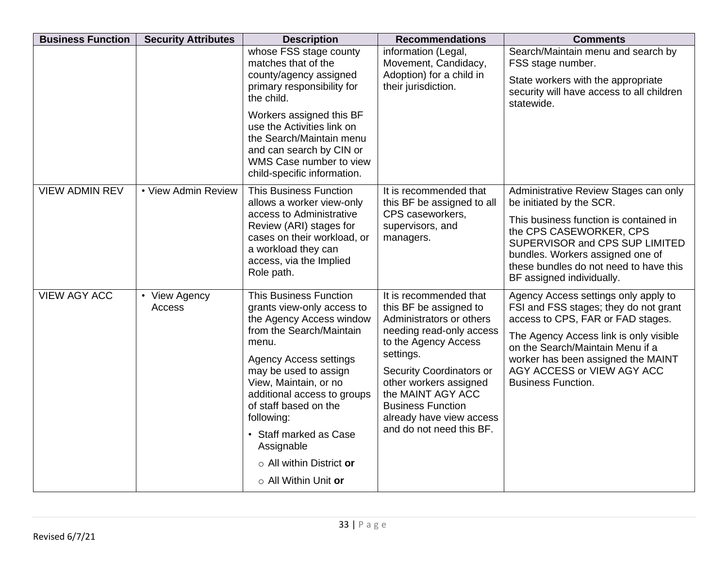| <b>Business Function</b> | <b>Security Attributes</b> | <b>Description</b>                                                                                                                                                                                                                                                                                                                                                                | <b>Recommendations</b>                                                                                                                                                                                                                                                                                       | <b>Comments</b>                                                                                                                                                                                                                                                                                   |
|--------------------------|----------------------------|-----------------------------------------------------------------------------------------------------------------------------------------------------------------------------------------------------------------------------------------------------------------------------------------------------------------------------------------------------------------------------------|--------------------------------------------------------------------------------------------------------------------------------------------------------------------------------------------------------------------------------------------------------------------------------------------------------------|---------------------------------------------------------------------------------------------------------------------------------------------------------------------------------------------------------------------------------------------------------------------------------------------------|
|                          |                            | whose FSS stage county<br>matches that of the<br>county/agency assigned<br>primary responsibility for<br>the child.<br>Workers assigned this BF<br>use the Activities link on<br>the Search/Maintain menu<br>and can search by CIN or<br>WMS Case number to view<br>child-specific information.                                                                                   | information (Legal,<br>Movement, Candidacy,<br>Adoption) for a child in<br>their jurisdiction.                                                                                                                                                                                                               | Search/Maintain menu and search by<br>FSS stage number.<br>State workers with the appropriate<br>security will have access to all children<br>statewide.                                                                                                                                          |
| <b>VIEW ADMIN REV</b>    | • View Admin Review        | <b>This Business Function</b><br>allows a worker view-only<br>access to Administrative<br>Review (ARI) stages for<br>cases on their workload, or<br>a workload they can<br>access, via the Implied<br>Role path.                                                                                                                                                                  | It is recommended that<br>this BF be assigned to all<br>CPS caseworkers,<br>supervisors, and<br>managers.                                                                                                                                                                                                    | Administrative Review Stages can only<br>be initiated by the SCR.<br>This business function is contained in<br>the CPS CASEWORKER, CPS<br>SUPERVISOR and CPS SUP LIMITED<br>bundles. Workers assigned one of<br>these bundles do not need to have this<br>BF assigned individually.               |
| <b>VIEW AGY ACC</b>      | • View Agency<br>Access    | <b>This Business Function</b><br>grants view-only access to<br>the Agency Access window<br>from the Search/Maintain<br>menu.<br><b>Agency Access settings</b><br>may be used to assign<br>View, Maintain, or no<br>additional access to groups<br>of staff based on the<br>following:<br>• Staff marked as Case<br>Assignable<br>o All within District or<br>o All Within Unit or | It is recommended that<br>this BF be assigned to<br>Administrators or others<br>needing read-only access<br>to the Agency Access<br>settings.<br>Security Coordinators or<br>other workers assigned<br>the MAINT AGY ACC<br><b>Business Function</b><br>already have view access<br>and do not need this BF. | Agency Access settings only apply to<br>FSI and FSS stages; they do not grant<br>access to CPS, FAR or FAD stages.<br>The Agency Access link is only visible<br>on the Search/Maintain Menu if a<br>worker has been assigned the MAINT<br>AGY ACCESS or VIEW AGY ACC<br><b>Business Function.</b> |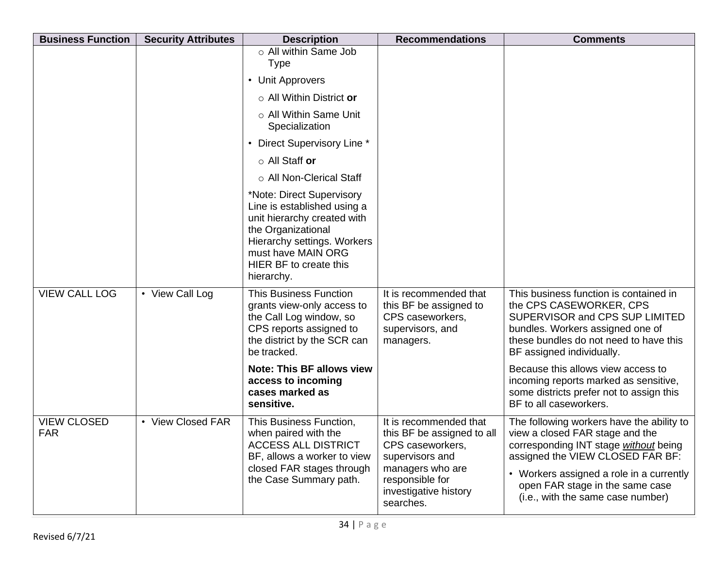| <b>Business Function</b>         | <b>Security Attributes</b> | <b>Description</b>                                                                                                                                                                                                                                         | <b>Recommendations</b>                                                                                                                                                   | <b>Comments</b>                                                                                                                                                                                                                                                                                                                                                     |
|----------------------------------|----------------------------|------------------------------------------------------------------------------------------------------------------------------------------------------------------------------------------------------------------------------------------------------------|--------------------------------------------------------------------------------------------------------------------------------------------------------------------------|---------------------------------------------------------------------------------------------------------------------------------------------------------------------------------------------------------------------------------------------------------------------------------------------------------------------------------------------------------------------|
|                                  |                            | o All within Same Job<br><b>Type</b>                                                                                                                                                                                                                       |                                                                                                                                                                          |                                                                                                                                                                                                                                                                                                                                                                     |
|                                  |                            | • Unit Approvers                                                                                                                                                                                                                                           |                                                                                                                                                                          |                                                                                                                                                                                                                                                                                                                                                                     |
|                                  |                            | $\circ$ All Within District or                                                                                                                                                                                                                             |                                                                                                                                                                          |                                                                                                                                                                                                                                                                                                                                                                     |
|                                  |                            | ○ All Within Same Unit<br>Specialization                                                                                                                                                                                                                   |                                                                                                                                                                          |                                                                                                                                                                                                                                                                                                                                                                     |
|                                  |                            | • Direct Supervisory Line *                                                                                                                                                                                                                                |                                                                                                                                                                          |                                                                                                                                                                                                                                                                                                                                                                     |
|                                  |                            | $\circ$ All Staff or                                                                                                                                                                                                                                       |                                                                                                                                                                          |                                                                                                                                                                                                                                                                                                                                                                     |
|                                  |                            | ○ All Non-Clerical Staff                                                                                                                                                                                                                                   |                                                                                                                                                                          |                                                                                                                                                                                                                                                                                                                                                                     |
|                                  |                            | *Note: Direct Supervisory<br>Line is established using a<br>unit hierarchy created with<br>the Organizational<br>Hierarchy settings. Workers<br>must have MAIN ORG<br>HIER BF to create this<br>hierarchy.                                                 |                                                                                                                                                                          |                                                                                                                                                                                                                                                                                                                                                                     |
| <b>VIEW CALL LOG</b>             | • View Call Log            | <b>This Business Function</b><br>grants view-only access to<br>the Call Log window, so<br>CPS reports assigned to<br>the district by the SCR can<br>be tracked.<br><b>Note: This BF allows view</b><br>access to incoming<br>cases marked as<br>sensitive. | It is recommended that<br>this BF be assigned to<br>CPS caseworkers,<br>supervisors, and<br>managers.                                                                    | This business function is contained in<br>the CPS CASEWORKER, CPS<br>SUPERVISOR and CPS SUP LIMITED<br>bundles. Workers assigned one of<br>these bundles do not need to have this<br>BF assigned individually.<br>Because this allows view access to<br>incoming reports marked as sensitive,<br>some districts prefer not to assign this<br>BF to all caseworkers. |
| <b>VIEW CLOSED</b><br><b>FAR</b> | • View Closed FAR          | This Business Function,<br>when paired with the<br><b>ACCESS ALL DISTRICT</b><br>BF, allows a worker to view<br>closed FAR stages through<br>the Case Summary path.                                                                                        | It is recommended that<br>this BF be assigned to all<br>CPS caseworkers,<br>supervisors and<br>managers who are<br>responsible for<br>investigative history<br>searches. | The following workers have the ability to<br>view a closed FAR stage and the<br>corresponding INT stage without being<br>assigned the VIEW CLOSED FAR BF:<br>• Workers assigned a role in a currently<br>open FAR stage in the same case<br>(i.e., with the same case number)                                                                                       |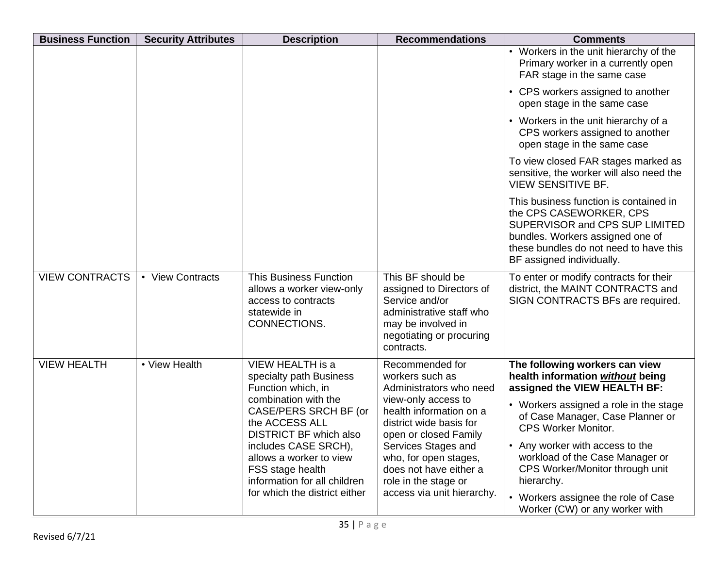| <b>Business Function</b> | <b>Security Attributes</b> | <b>Description</b>                                                                                                                                                    | <b>Recommendations</b>                                                                                                                                      | <b>Comments</b>                                                                                                                                                                                                |
|--------------------------|----------------------------|-----------------------------------------------------------------------------------------------------------------------------------------------------------------------|-------------------------------------------------------------------------------------------------------------------------------------------------------------|----------------------------------------------------------------------------------------------------------------------------------------------------------------------------------------------------------------|
|                          |                            |                                                                                                                                                                       |                                                                                                                                                             | • Workers in the unit hierarchy of the<br>Primary worker in a currently open<br>FAR stage in the same case                                                                                                     |
|                          |                            |                                                                                                                                                                       |                                                                                                                                                             | • CPS workers assigned to another<br>open stage in the same case                                                                                                                                               |
|                          |                            |                                                                                                                                                                       |                                                                                                                                                             | • Workers in the unit hierarchy of a<br>CPS workers assigned to another<br>open stage in the same case                                                                                                         |
|                          |                            |                                                                                                                                                                       |                                                                                                                                                             | To view closed FAR stages marked as<br>sensitive, the worker will also need the<br><b>VIEW SENSITIVE BF.</b>                                                                                                   |
|                          |                            |                                                                                                                                                                       |                                                                                                                                                             | This business function is contained in<br>the CPS CASEWORKER, CPS<br>SUPERVISOR and CPS SUP LIMITED<br>bundles. Workers assigned one of<br>these bundles do not need to have this<br>BF assigned individually. |
| <b>VIEW CONTRACTS</b>    | • View Contracts           | <b>This Business Function</b><br>allows a worker view-only<br>access to contracts<br>statewide in<br>CONNECTIONS.                                                     | This BF should be<br>assigned to Directors of<br>Service and/or<br>administrative staff who<br>may be involved in<br>negotiating or procuring<br>contracts. | To enter or modify contracts for their<br>district, the MAINT CONTRACTS and<br>SIGN CONTRACTS BFs are required.                                                                                                |
| <b>VIEW HEALTH</b>       | • View Health              | VIEW HEALTH is a<br>specialty path Business<br>Function which, in<br>combination with the<br>CASE/PERS SRCH BF (or<br>the ACCESS ALL                                  | Recommended for<br>workers such as<br>Administrators who need<br>view-only access to<br>health information on a<br>district wide basis for                  | The following workers can view<br>health information without being<br>assigned the VIEW HEALTH BF:<br>• Workers assigned a role in the stage<br>of Case Manager, Case Planner or<br><b>CPS Worker Monitor.</b> |
|                          |                            | <b>DISTRICT BF which also</b><br>includes CASE SRCH),<br>allows a worker to view<br>FSS stage health<br>information for all children<br>for which the district either | open or closed Family<br>Services Stages and<br>who, for open stages,<br>does not have either a<br>role in the stage or<br>access via unit hierarchy.       | • Any worker with access to the<br>workload of the Case Manager or<br>CPS Worker/Monitor through unit<br>hierarchy.<br>• Workers assignee the role of Case<br>Worker (CW) or any worker with                   |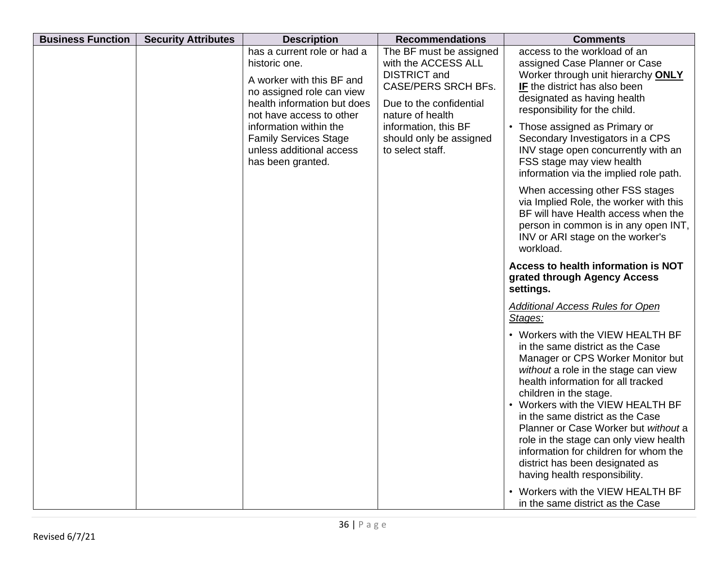| <b>Business Function</b> | <b>Security Attributes</b> | <b>Description</b>                                                                                                                                                                                                                                                           | <b>Recommendations</b>                                                                                                                                                                                                    | <b>Comments</b>                                                                                                                                                                                                                                                                                                                                                                                                                                                                                                                                                                                                                                                                                                                                                                                                                                                                                                                                                                                                                                                                                                                                                                                                                               |
|--------------------------|----------------------------|------------------------------------------------------------------------------------------------------------------------------------------------------------------------------------------------------------------------------------------------------------------------------|---------------------------------------------------------------------------------------------------------------------------------------------------------------------------------------------------------------------------|-----------------------------------------------------------------------------------------------------------------------------------------------------------------------------------------------------------------------------------------------------------------------------------------------------------------------------------------------------------------------------------------------------------------------------------------------------------------------------------------------------------------------------------------------------------------------------------------------------------------------------------------------------------------------------------------------------------------------------------------------------------------------------------------------------------------------------------------------------------------------------------------------------------------------------------------------------------------------------------------------------------------------------------------------------------------------------------------------------------------------------------------------------------------------------------------------------------------------------------------------|
|                          |                            | has a current role or had a<br>historic one.<br>A worker with this BF and<br>no assigned role can view<br>health information but does<br>not have access to other<br>information within the<br><b>Family Services Stage</b><br>unless additional access<br>has been granted. | The BF must be assigned<br>with the ACCESS ALL<br><b>DISTRICT</b> and<br><b>CASE/PERS SRCH BFs.</b><br>Due to the confidential<br>nature of health<br>information, this BF<br>should only be assigned<br>to select staff. | access to the workload of an<br>assigned Case Planner or Case<br>Worker through unit hierarchy ONLY<br>IF the district has also been<br>designated as having health<br>responsibility for the child.<br>• Those assigned as Primary or<br>Secondary Investigators in a CPS<br>INV stage open concurrently with an<br>FSS stage may view health<br>information via the implied role path.<br>When accessing other FSS stages<br>via Implied Role, the worker with this<br>BF will have Health access when the<br>person in common is in any open INT,<br>INV or ARI stage on the worker's<br>workload.<br>Access to health information is NOT<br>grated through Agency Access<br>settings.<br><b>Additional Access Rules for Open</b><br>Stages:<br>• Workers with the VIEW HEALTH BF<br>in the same district as the Case<br>Manager or CPS Worker Monitor but<br>without a role in the stage can view<br>health information for all tracked<br>children in the stage.<br>• Workers with the VIEW HEALTH BF<br>in the same district as the Case<br>Planner or Case Worker but without a<br>role in the stage can only view health<br>information for children for whom the<br>district has been designated as<br>having health responsibility. |
|                          |                            |                                                                                                                                                                                                                                                                              |                                                                                                                                                                                                                           | • Workers with the VIEW HEALTH BF<br>in the same district as the Case                                                                                                                                                                                                                                                                                                                                                                                                                                                                                                                                                                                                                                                                                                                                                                                                                                                                                                                                                                                                                                                                                                                                                                         |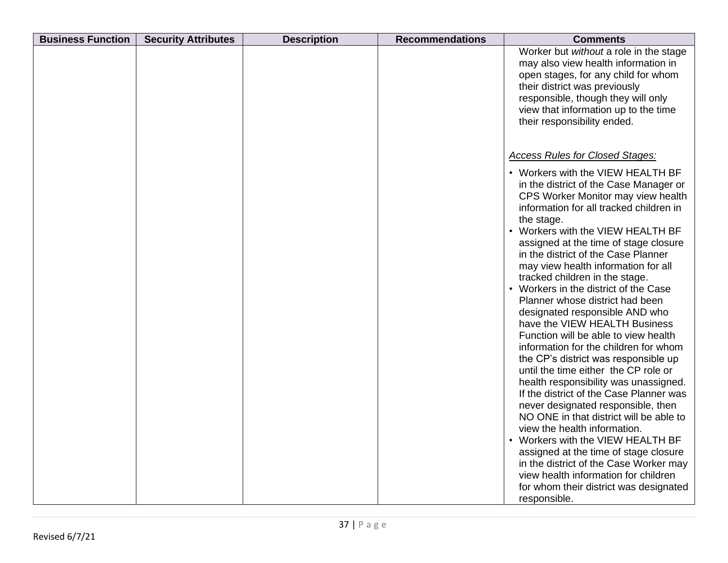| <b>Business Function</b><br><b>Security Attributes</b> | <b>Description</b> | <b>Recommendations</b> | <b>Comments</b>                                                                                                                                                                                                                                                                                                                                                                                                                                                                                                                                                                                                                                                                                                                                                                                                                                                                                                                                                                                                                                               |
|--------------------------------------------------------|--------------------|------------------------|---------------------------------------------------------------------------------------------------------------------------------------------------------------------------------------------------------------------------------------------------------------------------------------------------------------------------------------------------------------------------------------------------------------------------------------------------------------------------------------------------------------------------------------------------------------------------------------------------------------------------------------------------------------------------------------------------------------------------------------------------------------------------------------------------------------------------------------------------------------------------------------------------------------------------------------------------------------------------------------------------------------------------------------------------------------|
|                                                        |                    |                        | Worker but without a role in the stage<br>may also view health information in<br>open stages, for any child for whom<br>their district was previously<br>responsible, though they will only<br>view that information up to the time<br>their responsibility ended.                                                                                                                                                                                                                                                                                                                                                                                                                                                                                                                                                                                                                                                                                                                                                                                            |
|                                                        |                    |                        | <b>Access Rules for Closed Stages:</b>                                                                                                                                                                                                                                                                                                                                                                                                                                                                                                                                                                                                                                                                                                                                                                                                                                                                                                                                                                                                                        |
|                                                        |                    |                        | • Workers with the VIEW HEALTH BF<br>in the district of the Case Manager or<br>CPS Worker Monitor may view health<br>information for all tracked children in<br>the stage.<br>• Workers with the VIEW HEALTH BF<br>assigned at the time of stage closure<br>in the district of the Case Planner<br>may view health information for all<br>tracked children in the stage.<br>• Workers in the district of the Case<br>Planner whose district had been<br>designated responsible AND who<br>have the VIEW HEALTH Business<br>Function will be able to view health<br>information for the children for whom<br>the CP's district was responsible up<br>until the time either the CP role or<br>health responsibility was unassigned.<br>If the district of the Case Planner was<br>never designated responsible, then<br>NO ONE in that district will be able to<br>view the health information.<br>• Workers with the VIEW HEALTH BF<br>assigned at the time of stage closure<br>in the district of the Case Worker may<br>view health information for children |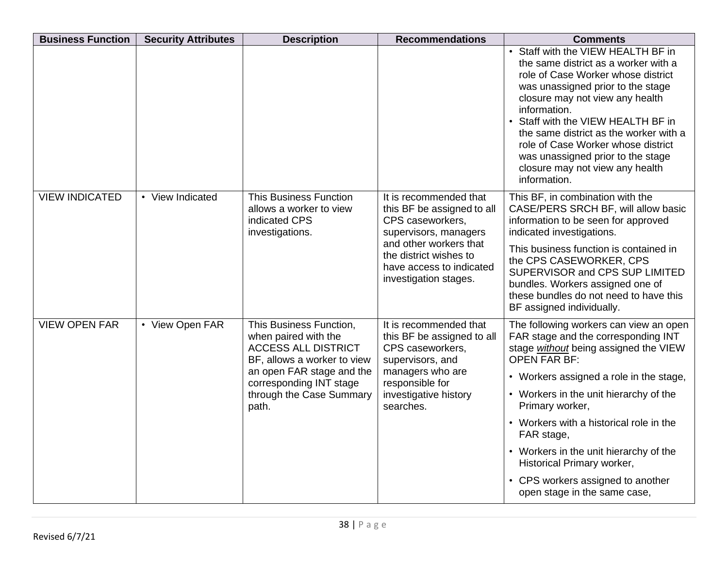| <b>Business Function</b> | <b>Security Attributes</b> | <b>Description</b>                                                                                                                                                                                        | <b>Recommendations</b>                                                                                                                                                                                     | <b>Comments</b>                                                                                                                                                                                                                                                                                                                                                                                                                                             |
|--------------------------|----------------------------|-----------------------------------------------------------------------------------------------------------------------------------------------------------------------------------------------------------|------------------------------------------------------------------------------------------------------------------------------------------------------------------------------------------------------------|-------------------------------------------------------------------------------------------------------------------------------------------------------------------------------------------------------------------------------------------------------------------------------------------------------------------------------------------------------------------------------------------------------------------------------------------------------------|
|                          |                            |                                                                                                                                                                                                           |                                                                                                                                                                                                            | • Staff with the VIEW HEALTH BF in<br>the same district as a worker with a<br>role of Case Worker whose district<br>was unassigned prior to the stage<br>closure may not view any health<br>information.<br>• Staff with the VIEW HEALTH BF in<br>the same district as the worker with a<br>role of Case Worker whose district<br>was unassigned prior to the stage<br>closure may not view any health<br>information.                                      |
| <b>VIEW INDICATED</b>    | • View Indicated           | <b>This Business Function</b><br>allows a worker to view<br>indicated CPS<br>investigations.                                                                                                              | It is recommended that<br>this BF be assigned to all<br>CPS caseworkers,<br>supervisors, managers<br>and other workers that<br>the district wishes to<br>have access to indicated<br>investigation stages. | This BF, in combination with the<br>CASE/PERS SRCH BF, will allow basic<br>information to be seen for approved<br>indicated investigations.<br>This business function is contained in<br>the CPS CASEWORKER, CPS<br>SUPERVISOR and CPS SUP LIMITED<br>bundles. Workers assigned one of<br>these bundles do not need to have this<br>BF assigned individually.                                                                                               |
| <b>VIEW OPEN FAR</b>     | • View Open FAR            | This Business Function,<br>when paired with the<br><b>ACCESS ALL DISTRICT</b><br>BF, allows a worker to view<br>an open FAR stage and the<br>corresponding INT stage<br>through the Case Summary<br>path. | It is recommended that<br>this BF be assigned to all<br>CPS caseworkers,<br>supervisors, and<br>managers who are<br>responsible for<br>investigative history<br>searches.                                  | The following workers can view an open<br>FAR stage and the corresponding INT<br>stage without being assigned the VIEW<br><b>OPEN FAR BF:</b><br>• Workers assigned a role in the stage,<br>• Workers in the unit hierarchy of the<br>Primary worker,<br>• Workers with a historical role in the<br>FAR stage,<br>• Workers in the unit hierarchy of the<br>Historical Primary worker,<br>• CPS workers assigned to another<br>open stage in the same case, |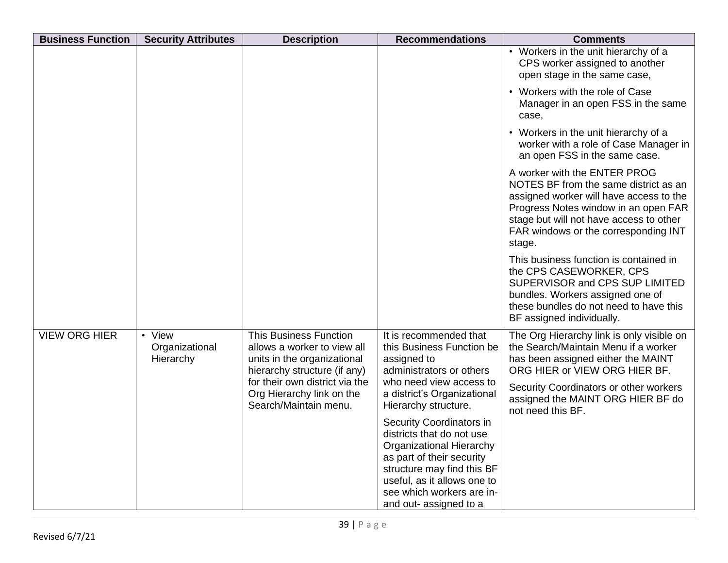| <b>Business Function</b> | <b>Security Attributes</b>            | <b>Description</b>                                                                                                          | <b>Recommendations</b>                                                                                                                                                                                                                    | <b>Comments</b>                                                                                                                                                                                                                                       |
|--------------------------|---------------------------------------|-----------------------------------------------------------------------------------------------------------------------------|-------------------------------------------------------------------------------------------------------------------------------------------------------------------------------------------------------------------------------------------|-------------------------------------------------------------------------------------------------------------------------------------------------------------------------------------------------------------------------------------------------------|
|                          |                                       |                                                                                                                             |                                                                                                                                                                                                                                           | • Workers in the unit hierarchy of a<br>CPS worker assigned to another<br>open stage in the same case,                                                                                                                                                |
|                          |                                       |                                                                                                                             |                                                                                                                                                                                                                                           | • Workers with the role of Case<br>Manager in an open FSS in the same<br>case.                                                                                                                                                                        |
|                          |                                       |                                                                                                                             |                                                                                                                                                                                                                                           | • Workers in the unit hierarchy of a<br>worker with a role of Case Manager in<br>an open FSS in the same case.                                                                                                                                        |
|                          |                                       |                                                                                                                             |                                                                                                                                                                                                                                           | A worker with the ENTER PROG<br>NOTES BF from the same district as an<br>assigned worker will have access to the<br>Progress Notes window in an open FAR<br>stage but will not have access to other<br>FAR windows or the corresponding INT<br>stage. |
|                          |                                       |                                                                                                                             |                                                                                                                                                                                                                                           | This business function is contained in<br>the CPS CASEWORKER, CPS<br>SUPERVISOR and CPS SUP LIMITED<br>bundles. Workers assigned one of<br>these bundles do not need to have this<br>BF assigned individually.                                        |
| <b>VIEW ORG HIER</b>     | • View<br>Organizational<br>Hierarchy | <b>This Business Function</b><br>allows a worker to view all<br>units in the organizational<br>hierarchy structure (if any) | It is recommended that<br>this Business Function be<br>assigned to<br>administrators or others                                                                                                                                            | The Org Hierarchy link is only visible on<br>the Search/Maintain Menu if a worker<br>has been assigned either the MAINT<br>ORG HIER or VIEW ORG HIER BF.                                                                                              |
|                          |                                       | for their own district via the<br>Org Hierarchy link on the<br>Search/Maintain menu.                                        | who need view access to<br>a district's Organizational<br>Hierarchy structure.                                                                                                                                                            | Security Coordinators or other workers<br>assigned the MAINT ORG HIER BF do<br>not need this BF.                                                                                                                                                      |
|                          |                                       |                                                                                                                             | Security Coordinators in<br>districts that do not use<br><b>Organizational Hierarchy</b><br>as part of their security<br>structure may find this BF<br>useful, as it allows one to<br>see which workers are in-<br>and out- assigned to a |                                                                                                                                                                                                                                                       |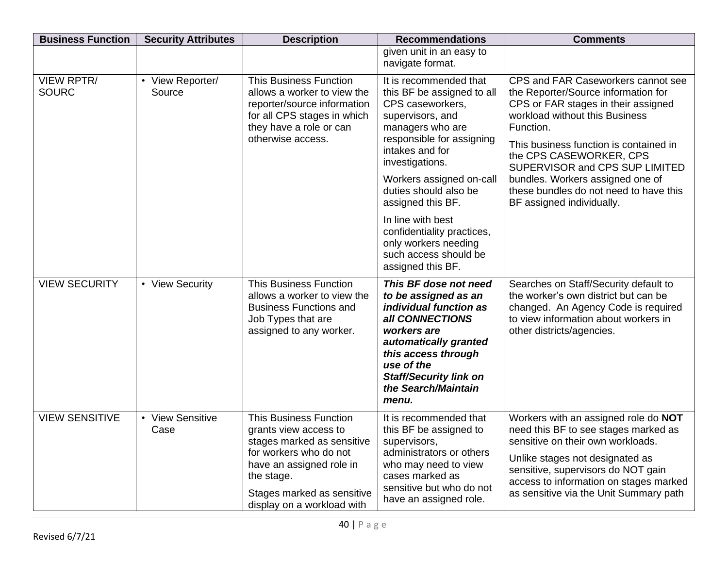| <b>Business Function</b>          | <b>Security Attributes</b>            | <b>Description</b>                                                                                                                                                                                                   | <b>Recommendations</b>                                                                                                                                                                                                                                                                                           | <b>Comments</b>                                                                                                                                                                                                                                                                                                                                                                   |
|-----------------------------------|---------------------------------------|----------------------------------------------------------------------------------------------------------------------------------------------------------------------------------------------------------------------|------------------------------------------------------------------------------------------------------------------------------------------------------------------------------------------------------------------------------------------------------------------------------------------------------------------|-----------------------------------------------------------------------------------------------------------------------------------------------------------------------------------------------------------------------------------------------------------------------------------------------------------------------------------------------------------------------------------|
|                                   |                                       |                                                                                                                                                                                                                      | given unit in an easy to<br>navigate format.                                                                                                                                                                                                                                                                     |                                                                                                                                                                                                                                                                                                                                                                                   |
| <b>VIEW RPTR/</b><br><b>SOURC</b> | View Reporter/<br>$\bullet$<br>Source | <b>This Business Function</b><br>allows a worker to view the<br>reporter/source information<br>for all CPS stages in which<br>they have a role or can<br>otherwise access.                                           | It is recommended that<br>this BF be assigned to all<br>CPS caseworkers,<br>supervisors, and<br>managers who are<br>responsible for assigning<br>intakes and for<br>investigations.<br>Workers assigned on-call<br>duties should also be<br>assigned this BF.<br>In line with best<br>confidentiality practices, | CPS and FAR Caseworkers cannot see<br>the Reporter/Source information for<br>CPS or FAR stages in their assigned<br>workload without this Business<br>Function.<br>This business function is contained in<br>the CPS CASEWORKER, CPS<br>SUPERVISOR and CPS SUP LIMITED<br>bundles. Workers assigned one of<br>these bundles do not need to have this<br>BF assigned individually. |
|                                   |                                       |                                                                                                                                                                                                                      | only workers needing<br>such access should be<br>assigned this BF.                                                                                                                                                                                                                                               |                                                                                                                                                                                                                                                                                                                                                                                   |
| <b>VIEW SECURITY</b>              | • View Security                       | <b>This Business Function</b><br>allows a worker to view the<br><b>Business Functions and</b><br>Job Types that are<br>assigned to any worker.                                                                       | This BF dose not need<br>to be assigned as an<br>individual function as<br>all CONNECTIONS<br>workers are<br>automatically granted<br>this access through<br>use of the<br><b>Staff/Security link on</b><br>the Search/Maintain<br>menu.                                                                         | Searches on Staff/Security default to<br>the worker's own district but can be<br>changed. An Agency Code is required<br>to view information about workers in<br>other districts/agencies.                                                                                                                                                                                         |
| <b>VIEW SENSITIVE</b>             | • View Sensitive<br>Case              | <b>This Business Function</b><br>grants view access to<br>stages marked as sensitive<br>for workers who do not<br>have an assigned role in<br>the stage.<br>Stages marked as sensitive<br>display on a workload with | It is recommended that<br>this BF be assigned to<br>supervisors,<br>administrators or others<br>who may need to view<br>cases marked as<br>sensitive but who do not<br>have an assigned role.                                                                                                                    | Workers with an assigned role do NOT<br>need this BF to see stages marked as<br>sensitive on their own workloads.<br>Unlike stages not designated as<br>sensitive, supervisors do NOT gain<br>access to information on stages marked<br>as sensitive via the Unit Summary path                                                                                                    |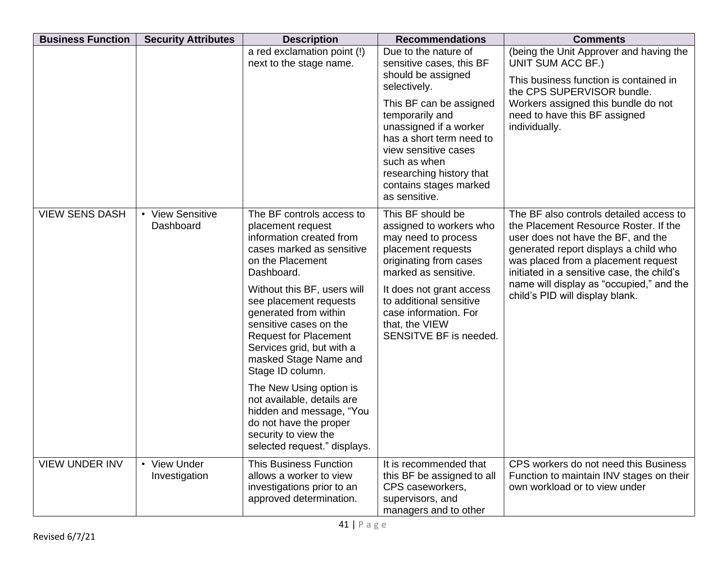| <b>Business Function</b> | <b>Security Attributes</b>    | <b>Description</b>                                                                                                                                                                                                                                                                                                                                                                                                                                                                                     | <b>Recommendations</b>                                                                                                                                                                                                                                                  | <b>Comments</b>                                                                                                                                                                                                                                                                                                                     |
|--------------------------|-------------------------------|--------------------------------------------------------------------------------------------------------------------------------------------------------------------------------------------------------------------------------------------------------------------------------------------------------------------------------------------------------------------------------------------------------------------------------------------------------------------------------------------------------|-------------------------------------------------------------------------------------------------------------------------------------------------------------------------------------------------------------------------------------------------------------------------|-------------------------------------------------------------------------------------------------------------------------------------------------------------------------------------------------------------------------------------------------------------------------------------------------------------------------------------|
|                          |                               | a red exclamation point (!)<br>next to the stage name.                                                                                                                                                                                                                                                                                                                                                                                                                                                 | Due to the nature of<br>sensitive cases, this BF<br>should be assigned<br>selectively.                                                                                                                                                                                  | (being the Unit Approver and having the<br>UNIT SUM ACC BF.)<br>This business function is contained in<br>the CPS SUPERVISOR bundle.                                                                                                                                                                                                |
|                          |                               |                                                                                                                                                                                                                                                                                                                                                                                                                                                                                                        | This BF can be assigned<br>temporarily and<br>unassigned if a worker<br>has a short term need to<br>view sensitive cases<br>such as when<br>researching history that<br>contains stages marked<br>as sensitive.                                                         | Workers assigned this bundle do not<br>need to have this BF assigned<br>individually.                                                                                                                                                                                                                                               |
| <b>VIEW SENS DASH</b>    | • View Sensitive<br>Dashboard | The BF controls access to<br>placement request<br>information created from<br>cases marked as sensitive<br>on the Placement<br>Dashboard.<br>Without this BF, users will<br>see placement requests<br>generated from within<br>sensitive cases on the<br><b>Request for Placement</b><br>Services grid, but with a<br>masked Stage Name and<br>Stage ID column.<br>The New Using option is<br>not available, details are<br>hidden and message, "You<br>do not have the proper<br>security to view the | This BF should be<br>assigned to workers who<br>may need to process<br>placement requests<br>originating from cases<br>marked as sensitive.<br>It does not grant access<br>to additional sensitive<br>case information. For<br>that, the VIEW<br>SENSITVE BF is needed. | The BF also controls detailed access to<br>the Placement Resource Roster. If the<br>user does not have the BF, and the<br>generated report displays a child who<br>was placed from a placement request<br>initiated in a sensitive case, the child's<br>name will display as "occupied," and the<br>child's PID will display blank. |
| <b>VIEW UNDER INV</b>    | • View Under<br>Investigation | selected request." displays.<br><b>This Business Function</b><br>allows a worker to view<br>investigations prior to an<br>approved determination.                                                                                                                                                                                                                                                                                                                                                      | It is recommended that<br>this BF be assigned to all<br>CPS caseworkers,<br>supervisors, and<br>managers and to other                                                                                                                                                   | CPS workers do not need this Business<br>Function to maintain INV stages on their<br>own workload or to view under                                                                                                                                                                                                                  |